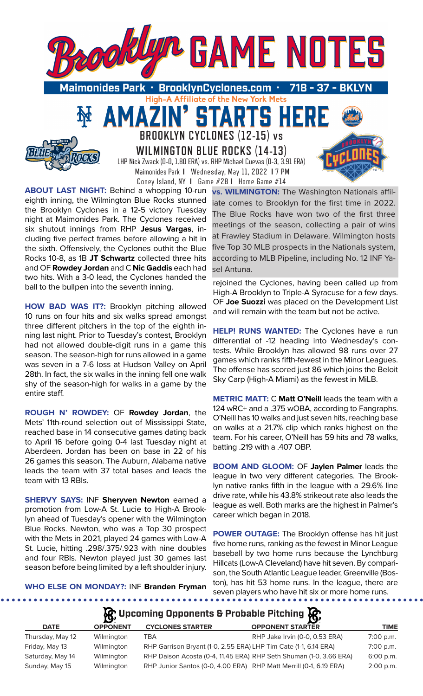

High-A Affiliate of the New York Mets

**STARTS HE** 

**BROOKLYN CYCLONES (12-15) vs WILMINGTON BLUE ROCKS (14-13)** LHP Nick Zwack (0-0, 1.80 ERA) vs. RHP Michael Cuevas (0-3, 3.91 ERA) Maimonides Park **I** Wednesday, May 11, 2022 **I** 7 PM Coney Island, NY **I** Game #28 **I** Home Game #14

**ABOUT LAST NIGHT:** Behind a whopping 10-run eighth inning, the Wilmington Blue Rocks stunned the Brooklyn Cyclones in a 12-5 victory Tuesday night at Maimonides Park. The Cyclones received six shutout innings from RHP **Jesus Vargas**, including five perfect frames before allowing a hit in the sixth. Offensively, the Cyclones outhit the Blue Rocks 10-8, as 1B **JT Schwartz** collected three hits and OF **Rowdey Jordan** and C **Nic Gaddis** each had two hits. With a 3-0 lead, the Cyclones handed the ball to the bullpen into the seventh inning.

AMAZ

**HOW BAD WAS IT?:** Brooklyn pitching allowed 10 runs on four hits and six walks spread amongst three different pitchers in the top of the eighth inning last night. Prior to Tuesday's contest, Brooklyn had not allowed double-digit runs in a game this season. The season-high for runs allowed in a game was seven in a 7-6 loss at Hudson Valley on April 28th. In fact, the six walks in the inning fell one walk shy of the season-high for walks in a game by the entire staff.

**ROUGH N' ROWDEY:** OF **Rowdey Jordan**, the Mets' 11th-round selection out of Mississippi State, reached base in 14 consecutive games dating back to April 16 before going 0-4 last Tuesday night at Aberdeen. Jordan has been on base in 22 of his 26 games this season. The Auburn, Alabama native leads the team with 37 total bases and leads the team with 13 RBIs.

**SHERVY SAYS:** INF **Sheryven Newton** earned a promotion from Low-A St. Lucie to High-A Brooklyn ahead of Tuesday's opener with the Wilmington Blue Rocks. Newton, who was a Top 30 prospect with the Mets in 2021, played 24 games with Low-A St. Lucie, hitting .298/.375/.923 with nine doubles and four RBIs. Newton played just 30 games last season before being limited by a left shoulder injury.

**vs. WILMINGTON:** The Washington Nationals affiliate comes to Brooklyn for the first time in 2022. The Blue Rocks have won two of the first three meetings of the season, collecting a pair of wins at Frawley Stadium in Delaware. Wilmington hosts five Top 30 MLB prospects in the Nationals system, according to MLB Pipeline, including No. 12 INF Yasel Antuna.

rejoined the Cyclones, having been called up from High-A Brooklyn to Triple-A Syracuse for a few days. OF **Joe Suozzi** was placed on the Development List and will remain with the team but not be active.

**HELP! RUNS WANTED:** The Cyclones have a run differential of -12 heading into Wednesday's contests. While Brooklyn has allowed 98 runs over 27 games which ranks fifth-fewest in the Minor Leagues. The offense has scored just 86 which joins the Beloit Sky Carp (High-A Miami) as the fewest in MiLB.

**METRIC MATT:** C **Matt O'Neill** leads the team with a 124 wRC+ and a .375 wOBA, according to Fangraphs. O'Neill has 10 walks and just seven hits, reaching base on walks at a 21.7% clip which ranks highest on the team. For his career, O'Neill has 59 hits and 78 walks, batting .219 with a .407 OBP.

**BOOM AND GLOOM:** OF **Jaylen Palmer** leads the league in two very different categories. The Brooklyn native ranks fifth in the league with a 29.6% line drive rate, while his 43.8% strikeout rate also leads the league as well. Both marks are the highest in Palmer's career which began in 2018.

**POWER OUTAGE:** The Brooklyn offense has hit just five home runs, ranking as the fewest in Minor League baseball by two home runs because the Lynchburg Hillcats (Low-A Cleveland) have hit seven. By comparison, the South Atlantic League leader, Greenville (Boston), has hit 53 home runs. In the league, there are seven players who have hit six or more home runs.

**WHO ELSE ON MONDAY?:** INF **Branden Fryman** 

. . . . . . . . . . .

## **Upcoming Opponents & Probable Pitching**

. . . . . . . .

| <b>DATE</b>      | <b>OPPONENT</b> | <b>CYCLONES STARTER</b> | <b>OPPONENT STARTER</b>                                            | TIME        |
|------------------|-----------------|-------------------------|--------------------------------------------------------------------|-------------|
| Thursday, May 12 | Wilmington      | TBA                     | RHP Jake Irvin (0-0, 0.53 ERA)                                     | $7:00$ p.m. |
| Friday, May 13   | Wilmington      |                         | RHP Garrison Bryant (1-0, 2.55 ERA) LHP Tim Cate (1-1, 6.14 ERA)   | $7:00$ p.m. |
| Saturday, May 14 | Wilmington      |                         | RHP Daison Acosta (0-4, 11.45 ERA) RHP Seth Shuman (1-0, 3.66 ERA) | $6:00$ p.m. |
| Sunday, May 15   | Wilmington      |                         | RHP Junior Santos (0-0, 4.00 ERA) RHP Matt Merrill (0-1, 6.19 ERA) | $2:00$ p.m. |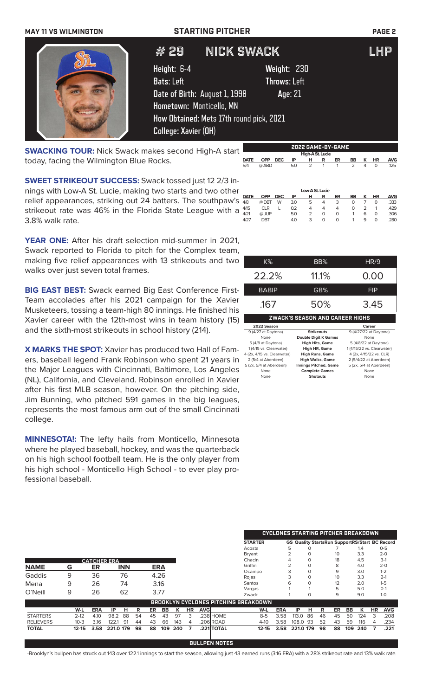### **MAY 11 VS WILMINGTON STARTING PITCHER PAGE 2**

# 29 NICK SWACK LHP

**Height:** 6-4 **Weight:** 230 **Bats**: Left **Throws**: Left **Date of Birth:** August 1, 1998 **Age**: 21 **Hometown:** Monticello, MN **How Obtained:** Mets 17th round pick, 2021 **College: Xavier (OH)**

**SWACKING TOUR:** Nick Swack makes second High-A start today, facing the Wilmington Blue Rocks.

**SWEET STRIKEOUT SUCCESS:** Swack tossed just 12 2/3 innings with Low-A St. Lucie, making two starts and two other relief appearances, striking out 24 batters. The southpaw's  $\frac{\text{part}}{48}$ strikeout rate was 46% in the Florida State League with a  $4/15$ 3.8% walk rate. **DATE OPP DEC IP H R ER BB K HR AVG** 4/8 @ DBT W 3.0 5 4 3 0 7 0 .333 4/15 CLR L 0.2 4 4 4 0 2 1 .429 4/21 @ JUP 5.0 2 0 0 1 6 0 .306 4/27 DBT 4.0 3 0 0 1 9 0 .280

**YEAR ONE:** After his draft selection mid-summer in 2021, Swack reported to Florida to pitch for the Complex team making five relief appearances with 13 strikeouts and two walks over just seven total frames.

**BIG EAST BEST:** Swack earned Big East Conference First-Team accolades after his 2021 campaign for the Xavier Musketeers, tossing a team-high 80 innings. He finished his Xavier career with the 12th-most wins in team history (15) and the sixth-most strikeouts in school history (214).

**X MARKS THE SPOT:** Xavier has produced two Hall of Famers, baseball legend Frank Robinson who spent 21 years in the Major Leagues with Cincinnati, Baltimore, Los Angeles (NL), California, and Cleveland. Robinson enrolled in Xavier after his first MLB season, however. On the pitching side, Jim Bunning, who pitched 591 games in the big leagues, represents the most famous arm out of the small Cincinnati college.

**MINNESOTA!:** The lefty hails from Monticello, Minnesota where he played baseball, hockey, and was the quarterback on his high school football team. He is the only player from his high school - Monticello High School - to ever play professional baseball.

| I, |              |       |            |
|----|--------------|-------|------------|
| ı, |              |       |            |
| С  | $K\%$        | BB%   | HR/9       |
|    | 22.2%        | 11.1% | 0.00       |
| ŀ. | <b>BABIP</b> | GB%   | <b>FIP</b> |
|    |              |       |            |

.167 50% 3.45

| ZWACK'S SEASON AND CAREER HIGHS |                              |                            |  |  |
|---------------------------------|------------------------------|----------------------------|--|--|
| 2022 Season                     |                              | Career                     |  |  |
| 9 (4/27 at Daytona)             | <b>Strikeouts</b>            | 9 (4/27/22 at Daytona)     |  |  |
| None                            | <b>Double Digit K Games</b>  | None                       |  |  |
| 5 (4/8 at Daytona)              | <b>High Hits, Game</b>       | 5 (4/8/22 at Daytona)      |  |  |
| 1 (4/15 vs. Clearwater)         | High HR, Game                | 1 (4/15/22 vs. Clearwater) |  |  |
| 4 (2x, 4/15 vs. Clearwater)     | <b>High Runs, Game</b>       | 4 (2x, 4/15/22 vs. CLR)    |  |  |
| 2 (5/4 at Aberdeen)             | <b>High Walks, Game</b>      | 2 (5/4/22 at Aberdeen)     |  |  |
| 5 (2x, 5/4 at Aberdeen)         | <b>Innings Pitched, Game</b> | 5 (2x, 5/4 at Aberdeen)    |  |  |
| None                            | <b>Complete Games</b>        | None                       |  |  |
| None                            | <b>Shutouts</b>              | None                       |  |  |

|                  |           |                    |           |            |    |            |      |     |           |            |            |                                             |            | <b>CYCLONES STARTING PITCHER BREAKDOWN</b>            |    |    |    |     |     |    |            |
|------------------|-----------|--------------------|-----------|------------|----|------------|------|-----|-----------|------------|------------|---------------------------------------------|------------|-------------------------------------------------------|----|----|----|-----|-----|----|------------|
|                  |           |                    |           |            |    |            |      |     |           |            |            | <b>STARTER</b>                              |            | <b>GS Quality StartsRun SupportRS/Start BC Record</b> |    |    |    |     |     |    |            |
|                  |           |                    |           |            |    |            |      |     |           |            |            | Acosta                                      |            | 5                                                     |    |    |    |     | 1.4 |    | $0-5$      |
|                  |           |                    |           |            |    |            |      |     |           |            |            | Bryant                                      |            | っ                                                     | 0  |    | 10 |     | 3.3 |    | $2 - 0$    |
|                  |           | <b>CATCHER ERA</b> |           |            |    |            |      |     |           |            |            | Chacin                                      |            |                                                       | O  |    | 18 |     | 4.5 |    | $3-1$      |
| <b>NAME</b>      | G         | ER                 |           | <b>INN</b> |    | <b>ERA</b> |      |     |           |            |            | Griffin                                     |            |                                                       |    |    | 8  |     | 4.0 |    | $2 - 0$    |
|                  |           |                    |           |            |    |            |      |     |           |            |            | Ocampo                                      |            | 3                                                     |    |    | 9  |     | 3.0 |    | $1 - 2$    |
| Gaddis           | 9         | 36                 |           | 76         |    |            | 4.26 |     |           |            |            | Rojas                                       |            |                                                       |    |    | 10 |     | 3.3 |    | $2 - 1$    |
| Mena             | 9         | 26                 |           | 74         |    |            | 3.16 |     |           |            |            | Santos                                      |            | 6                                                     |    |    | 12 |     | 2.0 |    | $1 - 5$    |
| O'Neill          | 9         | 26                 |           | 62         |    |            | 3.77 |     |           |            |            | Vargas                                      |            |                                                       |    |    | 5  |     | 5.0 |    | $O-1$      |
|                  |           |                    |           |            |    |            |      |     |           |            |            | Zwack                                       |            |                                                       | 0  |    | 9  |     | 9.0 |    | $1-0$      |
|                  |           |                    |           |            |    |            |      |     |           |            |            | <b>BROOKLYN CYCLONES PITCHING BREAKDOWN</b> |            |                                                       |    |    |    |     |     |    |            |
|                  | W-L       | <b>ERA</b>         | IP        | н          | R  | ER         | BB   | к   | <b>HR</b> | <b>AVG</b> |            | W-L                                         | <b>ERA</b> | IP                                                    | н  | R  | ER | BB  | К   | HR | <b>AVG</b> |
| <b>STARTERS</b>  | $2 - 12$  | 4.10               | 98.2      | 88         | 54 | 45         | 43   | 97  | 3         |            | .238 HOME  | $8 - 5$                                     | 3.58       | 113.0                                                 | 86 | 46 | 45 | 50  | 124 | 3  | .208       |
| <b>RELIEVERS</b> | $10 - 3$  | 3.16               | 122.1     | 91         | 44 | 43         | 66   | 143 | 4         |            | .206 ROAD  | $4 - 10$                                    | 3.58       | 108.0                                                 | 93 | 52 | 43 | 59  | 116 | 4  | .234       |
| <b>TOTAL</b>     | $12 - 15$ | 3.58               | 221.0 179 |            | 98 | 88         | 109  | 240 | 7         |            | .221 TOTAL | $12 - 15$                                   | 3.58       | 221.0 179                                             |    | 98 | 88 | 109 | 240 |    | .221       |
|                  |           |                    |           |            |    |            |      |     |           |            |            |                                             |            |                                                       |    |    |    |     |     |    |            |

**BULLPEN NOTES** -Brooklyn's bullpen has struck out 143 over 122.1 innings to start the season, allowing just 43 earned runs (3.16 ERA) with a 28% strikeout rate and 13% walk rate.



|             | <b>2022 GAME-BY-GAME</b> |            |     |               |                |    |               |   |          |            |
|-------------|--------------------------|------------|-----|---------------|----------------|----|---------------|---|----------|------------|
|             | High-A St. Lucie         |            |     |               |                |    |               |   |          |            |
| <b>DATE</b> | <b>OPP</b>               | <b>DEC</b> | ΙP  | н             | R              | ER | BB            | к | ΗR       | <b>AVG</b> |
| 5/4         | @ ABD                    |            | 5.0 | $\mathcal{P}$ | $\overline{1}$ |    | $\mathcal{P}$ | 4 | $\Omega$ | .125       |

**Low-A St. Lucie**<br>**OPP DEC IP HR** 

| $\mathbb K$ |  |  |  |
|-------------|--|--|--|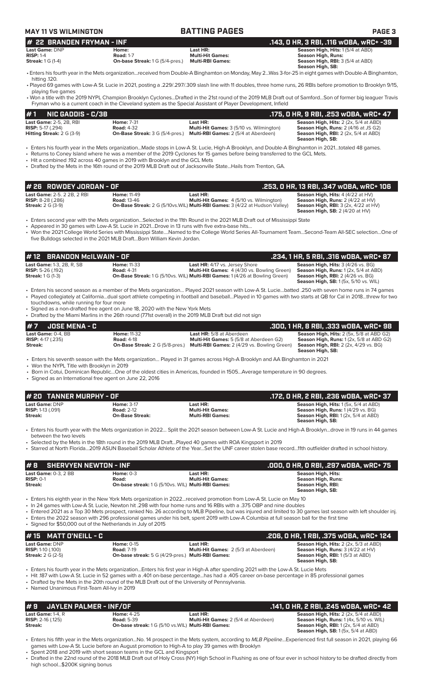### **MAY 11 VS WILMINGTON BATTING PAGES PAGE 3**

| I# 22 BRANDEN FRYMAN - INF |                                        |                         | .143. O HR. 3 RBI. .116 wOBA. wRC+ -39                                                                                                                   |
|----------------------------|----------------------------------------|-------------------------|----------------------------------------------------------------------------------------------------------------------------------------------------------|
| <b>Last Game: DNP</b>      | Home:                                  | Last HR:                | <b>Season High, Hits: 1(5/4 at ABD)</b>                                                                                                                  |
| $RISP: 1-4$                | <b>Road: 1-7</b>                       | <b>Multi-Hit Games:</b> | Season High, Runs:                                                                                                                                       |
| <b>Streak:</b> 1 G (1-4)   | <b>On-base Streak: 1 G (5/4-pres.)</b> | <b>Multi-RBI Games:</b> | <b>Season High, RBI:</b> 3 (5/4 at ABD)                                                                                                                  |
|                            |                                        |                         | Season High, SB:                                                                                                                                         |
| hitting 120.               |                                        |                         | • Enters his fourth year in the Mets organizationreceived from Double-A Binghamton on Monday, May 2Was 3-for-25 in eight games with Double-A Binghamton, |

• Played 69 games with Low-A St. Lucie in 2021, posting a .229/.297/.309 slash line with 11 doubles, three home runs, 26 RBIs before promotion to Brooklyn 9/15, playing five games

• Won a title with the 2019 NYPL Champion Brooklyn Cyclones...Drafted in the 21st round of the 2019 MLB Draft out of Samford...Son of former big leaguer Travis Fryman who is a current coach in the Cleveland system as the Special Assistant of Player Development, Infield

| #1                         | NIC GADDIS - C/3B                  |                                        |                                                 | .175, O HR, 9 RBI, .253 wOBA, wRC+ 47                |
|----------------------------|------------------------------------|----------------------------------------|-------------------------------------------------|------------------------------------------------------|
|                            | <b>Last Game: 2-5, 2B, RBI</b>     | <b>Home: 7-31</b>                      | Last HR:                                        | <b>Season High, Hits:</b> $2$ ( $2x$ , $5/4$ at ABD) |
| <b>RISP:</b> 5-17 $(.294)$ |                                    | <b>Road: 4-32</b>                      | <b>Multi-Hit Games: 3 (5/10 vs. Wilmington)</b> | <b>Season High, Runs: 2 (4/16 at JS G2)</b>          |
|                            | <b>Hitting Streak:</b> $2 G (3-9)$ | <b>On-Base Streak:</b> 3 G (5/4-pres.) | <b>Multi-RBI Games:</b> 2 (5/4 at Aberdeen)     | <b>Season High, RBI:</b> $2$ ( $2x$ , $5/4$ at ABD)  |
|                            |                                    |                                        |                                                 | Season High, SB:                                     |

• Enters his fourth year in the Mets organization...Made stops in Low-A St. Lucie, High-A Brooklyn, and Double-A Binghamton in 2021…totaled 48 games.

• Returns to Coney Island where he was a member of the 2019 Cyclones for 15 games before being transferred to the GCL Mets.

• Hit a combined .192 across 40 games in 2019 with Brooklyn and the GCL Mets

• Drafted by the Mets in the 16th round of the 2019 MLB Draft out of Jacksonville State...Hails from Trenton, GA.

| $#$ 26 $ $ ROWDEY JORDAN - OF $ $                                                            |                                          |                                                                                                                                                           | .253, 0 HR, 13 RBI, .347 w0BA, wRC+ 106                                                                                                                                     |
|----------------------------------------------------------------------------------------------|------------------------------------------|-----------------------------------------------------------------------------------------------------------------------------------------------------------|-----------------------------------------------------------------------------------------------------------------------------------------------------------------------------|
| <b>Last Game: 2-5, 2 2B, 2 RBI</b><br><b>RISP:</b> $8-28$ (.286)<br><b>Streak:</b> 2 G (3-9) | <b>Home: 11-49</b><br><b>Road: 13-46</b> | Last HR:<br><b>Multi-Hit Games:</b> 4 (5/10 vs. Wilmington)<br><b>On-Base Streak:</b> 2 G (5/10vs. WIL) <b>Multi-RBI Games:</b> 3 (4/22 at Hudson Valley) | <b>Season High, Hits: 4 (4/22 at HV)</b><br>Season High, Runs: 2 (4/22 at HV)<br><b>Season High, RBI:</b> $3$ (2x, $4/22$ at HV)<br><b>Season High, SB:</b> $2(4/20$ at HV) |

• Enters second year with the Mets organization…Selected in the 11th Round in the 2021 MLB Draft out of Mississippi State

• Appeared in 30 games with Low-A St. Lucie in 2021…Drove in 13 runs with five extra-base hits…

• Won the 2021 College World Series with Mississippi State….Named to the College World Series All-Tournament Team…Second-Team All-SEC selection…One of five Bulldogs selected in the 2021 MLB Draft…Born William Kevin Jordan.

| $#12$ BRANDON McILWAIN - OF      |                    |                                                                                            | .234, 1 HR, 5 RBI, .316 wOBA, wRC+ 87         |
|----------------------------------|--------------------|--------------------------------------------------------------------------------------------|-----------------------------------------------|
| <b>Last Game: 1-3, 2B, R, SB</b> | <b>Home: 11-33</b> | <b>Last HR:</b> 4/17 vs. Jersey Shore                                                      | <b>Season High, Hits: 3 (4/26 vs. BG)</b>     |
| <b>RISP:</b> 5-26 (.192)         | <b>Road: 4-31</b>  | <b>Multi-Hit Games:</b> 4 (4/30 vs. Bowling Green)                                         | <b>Season High, Runs:</b> $1(2x, 5/4$ at ABD) |
| <b>Streak: 1 G (1-3)</b>         |                    | <b>On-Base Streak:</b> 1 G (5/10vs. WIL) <b>Multi-RBI Games:</b> 1 (4/26 at Bowling Green) | <b>Season High, RBI:</b> 2 (4/26 vs. BG)      |
|                                  |                    |                                                                                            | <b>Season High, SB:</b> 1(5x, 5/10 vs. WIL)   |

• Enters his second season as a member of the Mets organization… Played 2021 season with Low-A St. Lucie…batted .250 with seven home runs in 74 games • Played collegiately at California…dual sport athlete competing in football and baseball…Played in 10 games with two starts at QB for Cal in 2018…threw for two touchdowns, while running for four more

• Signed as a non-drafted free agent on June 18, 2020 with the New York Mets

• Drafted by the Miami Marlins in the 26th round (771st overall) in the 2019 MLB Draft but did not sign

| $#7$ JOSE MENA - C           |                                        |                                                    | .300. 1 HR. 8 RBI. .333 WOBA. WRC+ 98           |
|------------------------------|----------------------------------------|----------------------------------------------------|-------------------------------------------------|
| Last Game: 0-4. BB           | <b>Home: 11-32</b>                     | <b>Last HR:</b> 5/8 at Aberdeen                    | <b>Season High, Hits: 2 (5x, 5/8 at ABD G2)</b> |
| <b>RISP:</b> $4-17$ $(.235)$ | <b>Road: 4-18</b>                      | <b>Multi-Hit Games:</b> 5 (5/8 at Aberdeen G2)     | <b>Season High, Runs:</b> 1(2x, 5/8 at ABD G2)  |
| Streak:                      | <b>On-Base Streak: 2 G (5/8-pres.)</b> | <b>Multi-RBI Games:</b> 2 (4/29 vs. Bowling Green) | <b>Season High, RBI:</b> 2 (2x, 4/29 vs. BG)    |
|                              |                                        |                                                    | Season High, SB:                                |

• Enters his seventh season with the Mets organization… Played in 31 games across High-A Brooklyn and AA Binghamton in 2021

• Won the NYPL Title with Brooklyn in 2019

• Born in Cotui, Dominican Republic…One of the oldest cities in Americas, founded in 1505…Average temperature in 90 degrees.

Signed as an International free agent on June 22, 2016

| # 20 TANNER MURPHY - OF  |                        |                         | .172, 0 HR, 2 RBI, .236 w0BA, wRC+ 37              |
|--------------------------|------------------------|-------------------------|----------------------------------------------------|
| Last Game: DNP           | <b>Home: 3-17</b>      | Last HR:                | <b>Season High, Hits: 1(5x, 5/4 at ABD)</b>        |
| <b>RISP: 1-13 (.091)</b> | <b>Road: 2-12</b>      | <b>Multi-Hit Games:</b> | <b>Season High, Runs:</b> $1(4/29 \text{ vs. BG})$ |
| Streak:                  | <b>On-Base Streak:</b> | <b>Multi-RBI Games:</b> | <b>Season High, RBI:</b> $1(2x, 5/4$ at ABD)       |
|                          |                        |                         | Season High, SB:                                   |
|                          |                        |                         |                                                    |

• Enters his fourth year with the Mets organization in 2022… Split the 2021 season between Low-A St. Lucie and High-A Brooklyn…drove in 19 runs in 44 games between the two levels

• Selected by the Mets in the 18th round in the 2019 MLB Draft…Played 40 games with ROA Kingsport in 2019

• Starred at North Florida…2019 ASUN Baseball Scholar Athlete of the Year…Set the UNF career stolen base record…11th outfielder drafted in school history.

| #8 SHERVYEN NEWTON - INF                              |                                                                                   |                                     | .000, 0 HR, 0 RBI, .297 w0BA, wRC+ 75                                             |
|-------------------------------------------------------|-----------------------------------------------------------------------------------|-------------------------------------|-----------------------------------------------------------------------------------|
| <b>Last Game: 0-3, 2 BB</b><br>$RISP: 0-1$<br>Streak: | Home: $0-3$<br>Road:<br><b>On-base streak: 1 G (5/10vs. WIL) Multi-RBI Games:</b> | Last HR:<br><b>Multi-Hit Games:</b> | Season High, Hits:<br>Season High, Runs:<br>Season High, RBI:<br>Season High, SB: |

• Enters his eighth year in the New York Mets organization in 2022...received promotion from Low-A St. Lucie on May 10

- In 24 games with Low-A St. Lucie, Newton hit .298 with four home runs and 16 RBIs with a .375 OBP and nine double
- Entered 2021 as a Top 30 Mets prospect, ranked No. 26 according to MLB Pipeline, but was injured and limited to 30 games last season with left shoulder inj. • Enters the 2022 season with 296 professional games under his belt, spent 2019 with Low-A Columbia at full season ball for the first time
- Signed for \$50,000 out of the Netherlands in July of 2015

| $#15$ MATT D'NEILL - C                       |                                                          |                                                         | .206, 0 HR, 1 RBI, .375 w0BA, wRC+ 124                                                       |
|----------------------------------------------|----------------------------------------------------------|---------------------------------------------------------|----------------------------------------------------------------------------------------------|
| Last Game: DNP<br><b>RISP:</b> 1-10 $(.100)$ | <b>Home: 0-15</b><br><b>Road: 7-19</b>                   | Last HR:<br><b>Multi-Hit Games: 2 (5/3 at Aberdeen)</b> | <b>Season High, Hits: 2 (2x, 5/3 at ABD)</b><br><b>Season High, Runs:</b> $3(4/22$ at $HV$ ) |
| <b>Streak: 2 G (2-5)</b>                     | <b>On-base streak:</b> 5 G (4/29-pres.) Multi-RBI Games: |                                                         | <b>Season High, RBI:</b> 1(5/3 at ABD)<br>Season High, SB:                                   |

• Enters his fourth year in the Mets organization...Enters his first year in High-A after spending 2021 with the Low-A St. Lucie Mets

• Hit .187 with Low-A St. Lucie in 52 games with a .401 on-base percentage...has had a .405 career on-base percentage in 85 professional games

• Drafted by the Mets in the 20th round of the MLB Draft out of the University of Pennsylvania.

• Named Unanimous First-Team All-Ivy in 2019

|                                       | $# 9$ JAYLEN PALMER - INF/OF |                                                            |                                             | .141, 0 HR, 2 RBI, .245 w0BA, wRC+ 42        |  |
|---------------------------------------|------------------------------|------------------------------------------------------------|---------------------------------------------|----------------------------------------------|--|
| <b>Last Game: <math>1-4</math>. R</b> |                              | <b>Home: 4-25</b>                                          | Last HR:                                    | <b>Season High, Hits: 2 (2x, 5/4 at ABD)</b> |  |
| <b>RISP:</b> $2-16$ (.125)            |                              | <b>Road:</b> 5-39                                          | <b>Multi-Hit Games:</b> 2 (5/4 at Aberdeen) | Season High, Runs: 1 (4x, 5/10 vs. WIL)      |  |
| Streak:                               |                              | <b>On-base streak: 1 G (5/10 vs. WIL) Multi-RBI Games:</b> |                                             | <b>Season High, RBI:</b> $1(2x, 5/4$ at ABD) |  |
|                                       |                              |                                                            |                                             | <b>Season High, SB:</b> $1(5x, 5/4$ at ABD)  |  |

• Enters his fifth year in the Mets organization...No. 14 prospect in the Mets system, according to *MLB Pipeline*...Experienced first full season in 2021, playing 66 games with Low-A St. Lucie before an August promotion to High-A to play 39 games with Brooklyn

• Spent 2018 and 2019 with short season teams in the GCL and Kingsport

• Drafted in the 22nd round of the 2018 MLB Draft out of Holy Cross (NY) High School in Flushing as one of four ever in school history to be drafted directly from high school...\$200K signing bonus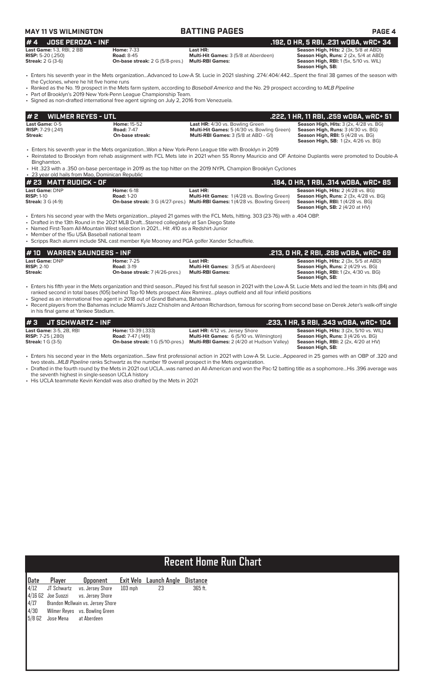| <b>MAY 11 VS WILMINGTON</b>                                                                                                                                                                                                                                                                                                       |                                                                           | <b>BATTING PAGES</b>                                                                                                                                                                                                                                                                                                                                                               | PAGE 4                                                                                                                                                          |
|-----------------------------------------------------------------------------------------------------------------------------------------------------------------------------------------------------------------------------------------------------------------------------------------------------------------------------------|---------------------------------------------------------------------------|------------------------------------------------------------------------------------------------------------------------------------------------------------------------------------------------------------------------------------------------------------------------------------------------------------------------------------------------------------------------------------|-----------------------------------------------------------------------------------------------------------------------------------------------------------------|
| #4<br><b>JOSE PEROZA - INF</b>                                                                                                                                                                                                                                                                                                    |                                                                           |                                                                                                                                                                                                                                                                                                                                                                                    | .192, 0 HR, 5 RBI, .231 wOBA, wRC+ 34                                                                                                                           |
| Last Game: 1-3, RBI, 2 BB<br>RISP: 5-20 (.250)<br><b>Streak: 2 G (3-6)</b>                                                                                                                                                                                                                                                        | <b>Home: 7-33</b><br><b>Road: 8-45</b><br>On-base streak: 2 G (5/8-pres.) | Last HR:<br>Multi-Hit Games: 3 (5/8 at Aberdeen)<br><b>Multi-RBI Games:</b>                                                                                                                                                                                                                                                                                                        | Season High, Hits: 2 (3x, 5/8 at ABD)<br>Season High, Runs: 2 (2x, 5/4 at ABD)<br>Season High, RBI: 1 (5x, 5/10 vs. WIL)<br><b>Season High, SB:</b>             |
|                                                                                                                                                                                                                                                                                                                                   |                                                                           | · Enters his seventh year in the Mets organizationAdvanced to Low-A St. Lucie in 2021 slashing .274/.404/.442Spent the final 38 qames of the season with                                                                                                                                                                                                                           |                                                                                                                                                                 |
| the Cyclones, where he hit five home runs<br>• Part of Brooklyn's 2019 New York-Penn League Championship Team.<br>· Signed as non-drafted international free agent signing on July 2, 2016 from Venezuela.                                                                                                                        |                                                                           | • Ranked as the No. 19 prospect in the Mets farm system, according to Baseball America and the No. 29 prospect according to MLB Pipeline                                                                                                                                                                                                                                           |                                                                                                                                                                 |
| <b>WILMER REYES - UTL</b><br>#2                                                                                                                                                                                                                                                                                                   |                                                                           |                                                                                                                                                                                                                                                                                                                                                                                    | .222, 1 HR, 11 RBI, .259 wOBA, wRC+ 51                                                                                                                          |
| Last Game: 0-5<br><b>RISP: 7-29 (.241)</b><br>Streak:                                                                                                                                                                                                                                                                             | <b>Home: 15-52</b><br><b>Road: 7-47</b><br>On-base streak:                | Last HR: 4/30 vs. Bowling Green<br>Multi-Hit Games: 5 (4/30 vs. Bowling Green)<br>Multi-RBI Games: 3 (5/8 at ABD - G1)                                                                                                                                                                                                                                                             | Season High, Hits: 3 (2x, 4/28 vs. BG)<br>Season High, Runs: 3 (4/30 vs. BG)<br><b>Season High, RBI: 5 (4/28 vs. BG)</b><br>Season High, SB: 1(2x, 4/26 vs. BG) |
| Binghamton.<br>• 23 year old hails from Mao, Dominican Republic                                                                                                                                                                                                                                                                   |                                                                           | • Enters his seventh year in the Mets organizationWon a New York-Penn League title with Brooklyn in 2019<br>• Reinstated to Brooklyn from rehab assignment with FCL Mets late in 2021 when SS Ronny Mauricio and OF Antoine Duplantis were promoted to Double-A<br>• Hit .323 with a .350 on-base percentage in 2019 as the top hitter on the 2019 NYPL Champion Brooklyn Cyclones |                                                                                                                                                                 |
| # 23 MATT RUDICK - OF                                                                                                                                                                                                                                                                                                             |                                                                           |                                                                                                                                                                                                                                                                                                                                                                                    | .184, 0 HR, 1 RBI, .314 wOBA, wRC+ 85                                                                                                                           |
| Last Game: DNP<br><b>RISP: 1-10</b><br><b>Streak: 3 G (4-9)</b>                                                                                                                                                                                                                                                                   | <b>Home: 6-18</b><br><b>Road: 1-20</b>                                    | Last HR:<br>Multi-Hit Games: 1 (4/28 vs. Bowling Green)<br>On-base streak: 3 G (4/27-pres.) Multi-RBI Games: 1 (4/28 vs. Bowling Green)                                                                                                                                                                                                                                            | Season High, Hits: 2 (4/28 vs. BG)<br>Season High, Runs: 2 (3x, 4/28 vs. BG)<br>Season High, RBI: 1(4/28 vs. BG)<br><b>Season High, SB: 2 (4/20 at HV)</b>      |
| • Drafted in the 13th Round in the 2021 MLB DraftStarred collegiately at San Diego State<br>• Named First-Team All-Mountain West selection in 2021 Hit .410 as a Redshirt-Junior<br>• Member of the 15u USA Baseball national team<br>• Scripps Rach alumni include SNL cast member Kyle Mooney and PGA golfer Xander Schauffele. |                                                                           | • Enters his second year with the Mets organizationplayed 21 games with the FCL Mets, hitting. 303 (23-76) with a .404 OBP.                                                                                                                                                                                                                                                        |                                                                                                                                                                 |
| <b>WARREN SAUNDERS - INF</b><br># 10                                                                                                                                                                                                                                                                                              |                                                                           |                                                                                                                                                                                                                                                                                                                                                                                    | .213, 0 HR, 2 RBI, .288 wOBA, wRC+ 69                                                                                                                           |
| Last Game: DNP<br><b>RISP: 2-10</b>                                                                                                                                                                                                                                                                                               | <b>Home: 7-25</b><br><b>Road: 3-19</b>                                    | Last HR:<br>Multi-Hit Games: 3 (5/5 at Aberdeen)                                                                                                                                                                                                                                                                                                                                   | Season High, Hits: 2 (3x, 5/5 at ABD)<br>Season High, Runs: 2 (4/29 vs. BG)                                                                                     |

**RISP:** 2-10 **Road:** 3-19 **Multi-Hit Games:** 3 (5/5 at Aberdeen) **Season High, Runs:** 2 (4/29 vs. BG) **Streak: On-base streak:** 7 (4/26-pres.) **Multi-RBI Games: Season High, RBI:** 1 (2x, 4/30 vs. BG)

ranked second in total bases (105) behind Top-10 Mets prospect Alex Ramirez…plays outfield and all four infield positions

two steals...*MLB Pipeline* ranks Schwartz as the number 19 overall prospect in the Mets organization.

• Enters his fifth year in the Mets organization and third season…Played his first full season in 2021 with the Low-A St. Lucie Mets and led the team in hits (84) and

• Recent players from the Bahamas include Miami's Jazz Chisholm and Antoan Richardson, famous for scoring from second base on Derek Jeter's walk-off single

• Enters his second year in the Mets organization…Saw first professional action in 2021 with Low-A St. Lucie…Appeared in 25 games with an OBP of .320 and

**Last Game:** 3-5, 2B, RBI **Home:** 13-39 (.333) **Last HR:** 4/12 vs. Jersey Shore **Season High, Hits:** 3 (2x, 5/10 vs. WIL) **RISP:** 7-25 (.280) **Road:** 7-47 (.149) **Multi-Hit Games:** 6 (5/10 vs. Wilmington) **Season High, Runs:** 3 (4/26 vs. BG)<br>**Streak:** 1 G (3-5) **On-base streak: 1** G (5/10-pres.) **Multi-RBI Games:** 2

**# 3 JT SCHWARTZ - INF**<br> **143 Last Game:** 3-5, 2B, RBI<br> **144 East Game:** 3-5, 2B, RBI<br> **147 (149)**<br> **145 East HR:** 4/12 vs. Jersey Shore<br> **147 (149)**<br> **145 Edges)**<br> **1476 Codi**<br> **1476 Codi**<br> **149** Multi-Hit Games: 6 (5/1

**Season High, Runs: 2** (4/29 vs. BG)<br> **Season High, Runs: 2** (4/29 vs. BG)<br> **Season High, Runs: 2** (4/29 vs. BG)<br> **Season High, RBI:** 1 (2x, 4/30 vs. BG)<br> **Season High, RBI:** 1 (2x, 4/30 vs. BG)<br> **Season High, SB:** 

**Season High, Hits:** 3 (2x, 5/10 vs. WIL)<br>**Season High, Runs:** 3 (4/26 vs. BG)<br>**Season High, RBI:** 2 (2x, 4/20 at HV)<br>**Season High, SB:** 

• Drafted in the fourth round by the Mets in 2021 out UCLA…was named an All-American and won the Pac-12 batting title as a sophomore…His .396 average was the seventh highest in single-season UCLA history

• Signed as an international free agent in 2018 out of Grand Bahama, Bahamas

in his final game at Yankee Stadium.

• His UCLA teammate Kevin Kendall was also drafted by the Mets in 2021

# **Recent Home Run Chart**

| Date                 | Player                | <b>Opponent</b>                     |           | Exit Velo Launch Angle | Distance |
|----------------------|-----------------------|-------------------------------------|-----------|------------------------|----------|
| 4/12                 |                       | JT Schwartz vs. Jersey Shore        | $103$ mph | 23                     | 365 ft.  |
|                      |                       | 4/16 G2 Joe Suozzi vs. Jersey Shore |           |                        |          |
| 4/17                 |                       | Brandon McIlwain vs. Jersey Shore   |           |                        |          |
| 4/30                 |                       | Wilmer Reyes vs. Bowling Green      |           |                        |          |
| $5/8$ G <sub>2</sub> | Jose Mena at Aberdeen |                                     |           |                        |          |
|                      |                       |                                     |           |                        |          |
|                      |                       |                                     |           |                        |          |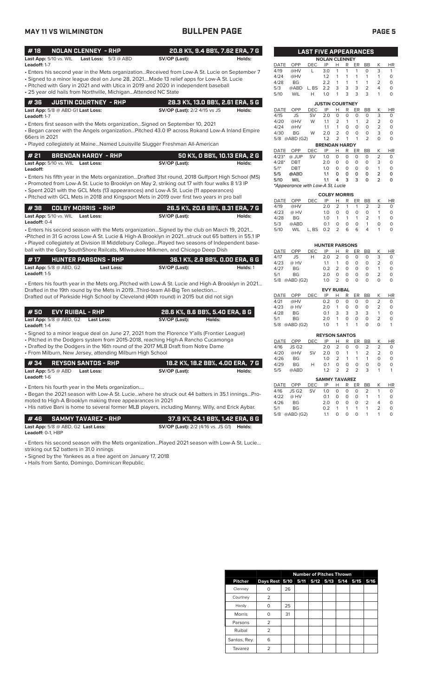### **MAY 11 VS WILMINGTON BULLPEN PAGE PAGE 5**

| #18                             | NOLAN CLENNEY - RHP |                               |               | 20.8 K%, 9.4 BB%, 7.62 ERA, 7 G |
|---------------------------------|---------------------|-------------------------------|---------------|---------------------------------|
| <b>Last App:</b> $5/10$ vs. WIL |                     | <b>Last Loss:</b> $5/3$ @ ABD | SV/OP (Last): | Holds:                          |
| Leadoff: 1-7                    |                     |                               |               |                                 |

- Enters his second year in the Mets organization...Received from Low-A St. Lucie on September 7
- Signed to a minor league deal on June 28, 2021....Made 13 relief apps for Low-A St. Lucie
- Pitched with Gary in 2021 and with Utica in 2019 and 2020 in independent baseball • 25 year old hails from Northville, Michigan...Attended NC State

| $\parallel$ # 36 $\parallel$ JUSTIN COURTNEY - RHP | 28.3 K%, 13.0 BB%, 2.61 ERA, 5 G    |        |
|----------------------------------------------------|-------------------------------------|--------|
| Last App: $5/8$ @ ABD G1 Last Loss:                | <b>SV/OP (Last):</b> 2/2 4/15 vs JS | Holds: |

**Leadoff:** 1-7

• Enters first season with the Mets organization…Signed on September 10, 2021

• Began career with the Angels organization…Pitched 43.0 IP across Rokand Low-A Inland Empire 66ers in 2021

• Played collegiately at Maine…Named Louisville Slugger Freshman All-American

|                                          | 50 K%, O BB%, 10.13 ERA, 2 G |        |
|------------------------------------------|------------------------------|--------|
| <b>Last App:</b> 5/10 vs. WIL Last Loss: | SV/OP (Last):                | Holds: |

• Enters his fifth year in the Mets organization...Drafted 31st round, 2018 Gulfport High School (MS) **Leadoff:**

• Promoted from Low-A St. Lucie to Brooklyn on May 2, striking out 17 with four walks 8 1/3 IP

- Spent 2021 with the GCL Mets (13 appearances) and Low-A St. Lucie (11 appearances)
- Pitched with GCL Mets in 2018 and Kingsport Mets in 2019 over first two years in pro ball

| 1 # 38      COLBY MORRIS  - RHP          | 26.5 K%, 20.6 BB%, 8.31 ERA, 7 G |        |
|------------------------------------------|----------------------------------|--------|
| <b>Last App:</b> 5/10 vs. WIL Last Loss: | SV/OP (Last):                    | Holds: |
| <b>Leadoff:</b> $0-4$                    |                                  |        |

• Enters his second season with the Mets organization…Signed by the club on March 19, 2021… •Pitched in 31 G across Low-A St. Lucie & High-A Brooklyn in 2021…struck out 65 batters in 55.1 IP • Played collegiately at Division III Middlebury College…Played two seasons of Independent baseball with the Gary SouthShore Railcats, Milwaukee Milkmen, and Chicago Deep Dish

| #17                 | <b>HUNTER PARSONS - RHP</b>      |            | 36.1 K%, 2.8 BB%, 0.00 ERA, 6 G |          |
|---------------------|----------------------------------|------------|---------------------------------|----------|
|                     | <b>Last App:</b> $5/8$ @ ABD, G2 | Last Loss: | SV/OP (Last):                   | Holds: 1 |
| <b>Leadoff:</b> 1-5 |                                  |            |                                 |          |

• Enters his fourth year in the Mets org..Pitched with Low-A St. Lucie and High-A Brooklyn in 2021… Drafted in the 19th round by the Mets in 2019...Third-team All-Big Ten selection… Drafted out of Parkside High School by Cleveland (40th round) in 2015 but did not sign

| <b>#50</b><br>EVY RUIBAL - RHP   |            |               | 28.6 K%, 8.6 BB%, 5.40 ERA, 8 G |
|----------------------------------|------------|---------------|---------------------------------|
| <b>Last App:</b> $5/8$ @ ABD, G2 | Last Loss: | SV/OP (Last): | Holds:                          |

**Leadoff:** 1-4

• Signed to a minor league deal on June 27, 2021 from the Florence Y'alls (Frontier League)

• Pitched in the Dodgers system from 2015-2018, reaching High-A Rancho Cucamonga

• Drafted by the Dodgers in the 16th round of the 2017 MLB Draft from Notre Dame • From Milburn, New Jersey, attending Milburn High School

|                     | #34 REYSON SANTOS - RHP    |            |                                                   |               | ' 18.2 K%, 18.2 BB%, 4.00 ERA,  7 G |
|---------------------|----------------------------|------------|---------------------------------------------------|---------------|-------------------------------------|
| <b>Leadoff:</b> 1-6 | <b>Last App:</b> 5/5 @ ABD | Last Loss: |                                                   | SV/OP (Last): | Holds:                              |
|                     |                            |            | • Enters his fourth year in the Mets organization |               |                                     |

• Began the 2021 season with Low-A St. Lucie…where he struck out 44 batters in 35.1 innings…Promoted to High-A Brooklyn making three appearances in 2021

• His native Bani is home to several former MLB players, including Manny, Willy, and Erick Aybar.

|                            | │#46 SAMMY TAVAREZ - RHP             | ,  37.9 K%, 24.1 BB%, 1.42 ERA, 6 G                     |  |
|----------------------------|--------------------------------------|---------------------------------------------------------|--|
|                            | Last App: $5/8$ @ ABD, G2 Last Loss: | <b>SV/OP (Last):</b> 2/2 (4/16 vs. JS G1) <b>Holds:</b> |  |
| $L$ eadoff $\cdot$ 0-1 HRP |                                      |                                                         |  |

• Enters his second season with the Mets organization…Played 2021 season with Low-A St. Lucie…

striking out 52 batters in 31.0 innings

• Signed by the Yankees as a free agent on January 17, 2018

• Hails from Santo, Domingo, Dominican Republic.

|             |                                  | <b>LAST FIVE APPEARANCES</b> |                      |                |                      |                |                |                          |           |
|-------------|----------------------------------|------------------------------|----------------------|----------------|----------------------|----------------|----------------|--------------------------|-----------|
|             |                                  |                              | <b>NOLAN CLENNEY</b> |                |                      |                |                |                          |           |
| <b>DATE</b> | OPP                              | <b>DEC</b>                   | IP                   | Н              | R                    | ER             | <b>BB</b>      | K                        | <b>HR</b> |
| 4/19        | @HV                              | L                            | 3.0                  | 1              | 1                    | 1              | 0              | 3                        | 1         |
| 4/24        | @HV                              |                              | 1.2                  | 1              | 1                    | 1              | 1              | 1                        | O         |
| 4/28        | <b>BG</b>                        |                              | 2.2                  | 1              | 1                    | 1              | 1              | 2                        | 0         |
| 5/3         | @ABD                             | L. BS                        | 2.2                  | 3              | 3                    | 3              | $\overline{2}$ | 4                        | 0         |
| 5/10        | WIL                              | Н                            | 1.0                  | 1              | 3                    | 3              | 3              | 1                        | $\Omega$  |
|             | <b>JUSTIN COURTNEY</b>           |                              |                      |                |                      |                |                |                          |           |
| <b>DATE</b> | OPP                              | <b>DEC</b>                   | IP                   | Н              | R                    | ER             | <b>BB</b>      | Κ                        | ΗR        |
| 4/15        | <b>JS</b>                        | SV                           | 2.0                  | 0              | $\Omega$             | $\Omega$       | 0              | 3                        | 0         |
| 4/20        | @HV                              | W                            | 1.1                  | $\overline{2}$ | 1                    | 1              | $\overline{2}$ | $\overline{2}$           | 0         |
| 4/24        | @HV                              |                              | 1.1                  | 1              | $\Omega$             | $\Omega$       | $\Omega$       | $\overline{2}$           | 0         |
| 4/30        | <b>BG</b>                        | W                            | 2.0                  | $\overline{2}$ | $\Omega$             | $\Omega$       | $\Omega$       | 3                        | 0         |
| 5/8         | @ABD (G2)                        |                              | 1.2                  | $\overline{2}$ | 1                    | 1              | $\overline{2}$ | $\Omega$                 | 0         |
|             |                                  |                              | <b>BRENDAN HARDY</b> |                |                      |                |                |                          |           |
| <b>DATE</b> | OPP                              | <b>DEC</b>                   | IP                   | Н              | R                    | ER             | <b>BB</b>      | Κ                        | ΗR        |
| $4/23*$     | @ JUP                            | <b>SV</b>                    | 1.0                  | $\Omega$       | $\Omega$             | 0              | 0              | $\overline{2}$           | 0         |
| $4/28*$     | <b>DBT</b>                       |                              | 2.0                  | O              | $\Omega$             | 0              | 0              | 3                        | 0         |
| $5/1*$      | <b>DBT</b>                       |                              | 1.0                  | O              | $\Omega$             | 0              | 0              | 1                        | O         |
| 5/5         | @ABD                             |                              | 1.1                  | ٥              | ٥                    | o              | o              | 2                        | 0         |
| 5/10        | <b>WIL</b>                       |                              | 1.1                  | 4              | 3                    | 3              | O              | $\overline{2}$           | 0         |
|             | *Appearance with Low-A St. Lucie |                              |                      |                |                      |                |                |                          |           |
|             |                                  |                              | <b>COLBY MORRIS</b>  |                |                      |                |                |                          |           |
| <b>DATE</b> | OPP                              | <b>DEC</b>                   | IP                   | Н              | R                    | ER             | <b>BB</b>      | Κ                        | HR        |
| 1/10        | $\odot$ LIV                      |                              | $\Omega$             | $\sim$         | $\blacktriangleleft$ | $\overline{1}$ | $\overline{ }$ | $\overline{\phantom{0}}$ | $\sim$    |

|      | DAIL UFF DEUIF FIR ER DDIN FIR |             |                   |                          |                |          |
|------|--------------------------------|-------------|-------------------|--------------------------|----------------|----------|
|      | 4/19 @HV                       | 2.0 2 1 1 2 |                   |                          | $\overline{2}$ | 0        |
|      | 4/23 @ HV                      | 1.0         |                   | $0\quad 0\quad 0\quad 0$ | 1              | $\Omega$ |
| 4/28 | BG                             | 1.0 1 1 1 2 |                   |                          | -1             | 0        |
|      | 5/3 @ABD                       | 0.1         | $0\quad 0\quad 0$ | $\mathbf{1}$             | $\Omega$       | 0        |
|      | 5/10 WIL L.BS 0.2 2 6 6 4      |             |                   |                          |                | O        |
|      |                                |             |                   |                          |                |          |
|      |                                |             |                   |                          |                |          |

**HUNTER PARSONS**

| DATE | OPP       | DEC | IP                | н              | R | ER | <b>BB</b> | Κ              | ΗR       |
|------|-----------|-----|-------------------|----------------|---|----|-----------|----------------|----------|
| 4/17 | JS        | н   | 2.0               | $\overline{2}$ | Ο | O  | O         | 3              | 0        |
| 4/23 | @ HV      |     | 1.1               | 1              | 0 | Ο  | Ο         | $\overline{2}$ | O        |
| 4/27 | ΒG        |     | 0.2               | $\overline{2}$ | 0 | O  | O         | 1              | 0        |
| 5/1  | ΒG        |     | 2.0               | 0              | Ο | O  | O         | $\overline{2}$ | 0        |
| 5/8  | @ABD (G2) |     | 1.0               | $\overline{2}$ | Ο | O  | O         | 0              | $\Omega$ |
|      |           |     | <b>EVY RUIBAL</b> |                |   |    |           |                |          |
|      |           |     |                   |                |   |    |           |                |          |
| DATE | OPP       | DEC | IP                | н              | R | ER | BВ        | Κ              | ΗR       |
| 4/21 | @HV       |     | 0.2               | O              | 0 | 0  | 0         | 2              | O        |
| 4/23 | @ HV      |     | 2.0               | 1              | 0 | Ο  | Ο         | $\overline{2}$ | O        |
| 4/28 | BG        |     | 0.1               | 3              | 3 | 3  | 3         | 1              | 0        |
|      |           |     |                   |                |   |    |           |                |          |

| @ABD (G2)<br>5/8     | 1.0               |            |     | 1 |   |    | 1             |                |          |
|----------------------|-------------------|------------|-----|---|---|----|---------------|----------------|----------|
| <b>REYSON SANTOS</b> |                   |            |     |   |   |    |               |                |          |
| <b>DATE</b>          | OPP               | <b>DEC</b> | IP  | н | R | ER | BB            | Κ              | ΗR       |
| 4/16                 | JS G <sub>2</sub> |            | 2.0 | 2 | Ο | Ο  | 2             | 2              | $\Omega$ |
| 4/20                 | @HV               | SV         | 2.0 | O | 1 | 1  | $\mathcal{P}$ | $\overline{2}$ | O        |
| 4/26                 | <b>BG</b>         |            | 1.0 | 2 | 1 | 1  | 1             | O              | $\Omega$ |
| 4/29                 | <b>BG</b>         | н          | 0.1 | O | Ω | O  | O             | O              | O        |
| 5/5                  | @ABD              |            | 12  |   | 2 | っ  | 3             |                |          |

5/1 BG 2.0 1 0 0 0 2 0

|      |           |      | <b>SAMMY TAVAREZ</b> |   |          |          |               |   |           |
|------|-----------|------|----------------------|---|----------|----------|---------------|---|-----------|
| DATE | OPP       | DEC. | IP                   | н |          | R ER BB  |               | K | <b>HR</b> |
| 4/16 | JS G2     | SV - | 1.0                  | 0 | 0        | $\Omega$ | $\mathcal{L}$ |   | O         |
| 4/22 | @ HV      |      | $\Omega$ 1           | O | O        | O        | -1            |   |           |
| 4/26 | <b>BG</b> |      | 20                   | O | $\Omega$ | O        | $\mathcal{L}$ | Δ |           |
| 5/1  | <b>BG</b> |      | 02                   |   |          |          | 1             |   |           |
| 5/8  | @ABD (G2) |      | 11                   | O | $\Omega$ | O        |               |   |           |

|                |                                         |    | <b>Number of Pitches Thrown</b> |  |      |
|----------------|-----------------------------------------|----|---------------------------------|--|------|
| <b>Pitcher</b> | Days Rest 5/10 5/11 5/12 5/13 5/14 5/15 |    |                                 |  | 5/16 |
| Clenney        |                                         | 26 |                                 |  |      |
| Courtney       | $\overline{2}$                          |    |                                 |  |      |
| Hardy          | ∩                                       | 25 |                                 |  |      |
| Morris         | ∩                                       | 31 |                                 |  |      |
| Parsons        | $\overline{2}$                          |    |                                 |  |      |
| Ruibal         | 2                                       |    |                                 |  |      |
| Santos, Rey.   | 6                                       |    |                                 |  |      |
| Tavarez        | 2                                       |    |                                 |  |      |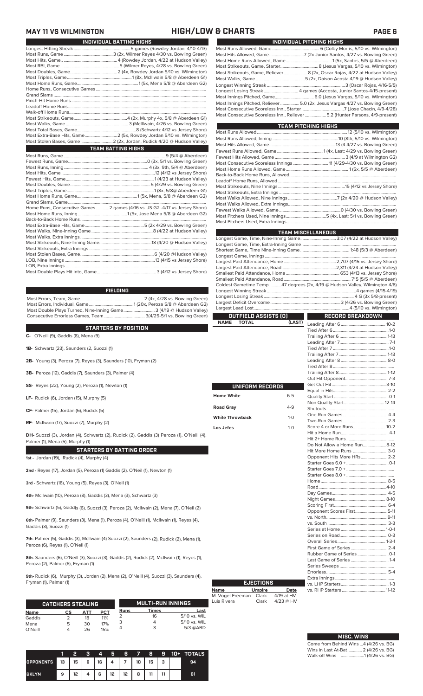### **MAY 11 VS WILMINGTON HIGH/LOW & CHARTS PAGE 6**

| INDIVIDUAL BATTING HIGHS                                                    |
|-----------------------------------------------------------------------------|
|                                                                             |
|                                                                             |
|                                                                             |
|                                                                             |
|                                                                             |
|                                                                             |
|                                                                             |
|                                                                             |
|                                                                             |
|                                                                             |
|                                                                             |
|                                                                             |
|                                                                             |
|                                                                             |
|                                                                             |
| Most Extra-Base Hits, Game 2 (5x, Rowdey Jordan 5/10 vs. Wilmington)        |
| Most Stolen Bases, Game  2 (2x, Jordan, Rudick 4/20 @ Hudson Valley)        |
| <b>TEAM BATTING HIGHS</b>                                                   |
|                                                                             |
|                                                                             |
|                                                                             |
|                                                                             |
|                                                                             |
|                                                                             |
|                                                                             |
|                                                                             |
|                                                                             |
| Home Runs, Consecutive Games 2 games (4/16 vs. JS G2 -4/17 vs Jersey Shore) |
|                                                                             |
|                                                                             |
|                                                                             |

**FIELDING**

Most Errors, Team, Game......................................................... 2 (4x, 4/28 vs. Bowling Green) Most Errors, Individual, Game........................................1 (20x, Peroza 5/8 @ Aberdeen G2) Most Double Plays Turned, Nine-Inning Game............................ 3 (4/19 @ Hudson Valley) Consecutive Errorless Games, Team..................................... 3(4/29-5/1 vs. Bowling Green)

### **STARTERS BY POSITION**

**C-** O'Neill (9), Gaddis (8), Mena (9)

**1B-** Schwartz (23), Saunders (2, Suozzi (1)

- **2B-** Young (3), Peroza (7), Reyes (3), Saunders (10), Fryman (2)
- **3B-** Peroza (12), Gaddis (7), Saunders (3), Palmer (4)
- **SS-** Reyes (22), Young (2), Peroza (1), Newton (1)
- **LF-** Rudick (6), Jordan (15), Murphy (5)
- **CF-** Palmer (15), Jordan (6), Rudick (5)

**RF-** McIlwain (17), Suozzi (7), Murphy (2)

**DH-** Suozzi (3), Jordan (4), Schwartz (2), Rudick (2), Gaddis (3) Peroza (1), O'Neill (4), Palmer (1), Mena (5), Murphy (1)

### **STARTERS BY BATTING ORDER**

**1st -** Jordan (19), Rudick (4), Murphy (4)

**2nd -** Reyes (17), Jordan (5), Peroza (1) Gaddis (2). O'Neil (1), Newton (1)

**3rd -** Schwartz (18), Young (5), Reyes (3), O'Neil (1)

**4th-** McIlwain (10), Peroza (8), Gaddis (3), Mena (3), Schwartz (3)

**5th-** Schwartz (5), Gaddis (6), Suozzi (3), Peroza (2), McIlwain (2), Mena (7), O'Neil (2)

**6th-** Palmer (9), Saunders (3), Mena (1), Peroza (4), O'Neill (1), McIlwain (1), Reyes (4), Gaddis (3), Suozzi (1)

**7th-** Palmer (5), Gaddis (3), McIlwain (4) Suozzi (2), Saunders (2), Rudick (2), Mena (1), Peroza (6), Reyes (1), O'Neil (1)

**8th-** Saunders (6), O'Neill (3), Suozzi (3), Gaddis (2), Rudick (2), McIlwain (1), Reyes (1), Peroza (2), Palmer (6), Fryman (1)

**9th-** Rudick (6), Murphy (3), Jordan (2), Mena (2), O'Neill (4), Suozzi (3), Saunders (4), Fryman (1), Palmer (1)

|             | <b>CATCHERS STEALING</b> |     |            |             | <b>MULTI-RUN INNINGS</b> |              |
|-------------|--------------------------|-----|------------|-------------|--------------------------|--------------|
| <b>Name</b> | СS                       | ΔТΤ | <b>PCT</b> | <b>Runs</b> | <b>Times</b>             | Last         |
| Gaddis      |                          | 18  | 11%        |             | 16                       | 5/10 vs. WIL |
| Mena        | 5                        | 30  | 17%        |             |                          | 5/10 vs. WIL |
| O'Neill     |                          | 26  | 15%        |             | ว                        | $5/3$ @ABD   |

|                  |      | 2  | з | $\boldsymbol{A}$ | Ы  | Æ                     | - 7 - | -8 | -9 | 10+ TOTALS |
|------------------|------|----|---|------------------|----|-----------------------|-------|----|----|------------|
| <b>OPPONENTS</b> | l 13 |    |   |                  |    | $15$   6   16   4   7 | 10    | 15 | з  | 94         |
| <b>BKLYN</b>     | 9    | 12 |   | 6                | 12 | 12 <sup>2</sup>       | 8     | 11 |    | 81         |

|  | INDIVIDUAL PITCHING HIGHS                                                    |
|--|------------------------------------------------------------------------------|
|  |                                                                              |
|  |                                                                              |
|  |                                                                              |
|  |                                                                              |
|  | Most Strikeouts, Game, Reliever 8 (2x, Oscar Rojas, 4/22 at Hudson Valley)   |
|  |                                                                              |
|  |                                                                              |
|  |                                                                              |
|  |                                                                              |
|  | Most Innings Pitched, Reliever 5.0 (2x, Jesus Vargas 4/27 vs. Bowling Green) |
|  |                                                                              |
|  | Most Consecutive Scoreless Inn., Reliever  5.2 (Hunter Parsons, 4/9-present) |
|  |                                                                              |

| <b>TEAM PITCHING HIGHS</b> |  |
|----------------------------|--|
|                            |  |
|                            |  |
|                            |  |
|                            |  |
|                            |  |
|                            |  |
|                            |  |
|                            |  |
|                            |  |
|                            |  |
|                            |  |
|                            |  |
|                            |  |
|                            |  |
|                            |  |
|                            |  |

|                             |         | <b>TEAM MISCELLANEOUS</b>                                                  |  |
|-----------------------------|---------|----------------------------------------------------------------------------|--|
|                             |         | Longest Game, Time, Nine-Inning Game 3:07 (4/22 at Hudson Valley)          |  |
|                             |         |                                                                            |  |
|                             |         |                                                                            |  |
|                             |         |                                                                            |  |
|                             |         |                                                                            |  |
|                             |         |                                                                            |  |
|                             |         |                                                                            |  |
|                             |         |                                                                            |  |
|                             |         | Coldest Gametime Temp47 degrees (2x, 4/19 @ Hudson Valley, Wilmington 4/8) |  |
|                             |         |                                                                            |  |
|                             |         |                                                                            |  |
|                             |         |                                                                            |  |
|                             |         |                                                                            |  |
| OUTFIELD ASSISTS (0)        |         | <b>RECORD BREAKDOWN</b>                                                    |  |
| <b>NAME</b><br><b>TOTAL</b> | (LAST)  |                                                                            |  |
|                             |         |                                                                            |  |
|                             |         |                                                                            |  |
|                             |         |                                                                            |  |
|                             |         |                                                                            |  |
|                             |         |                                                                            |  |
|                             |         |                                                                            |  |
|                             |         |                                                                            |  |
|                             |         |                                                                            |  |
|                             |         |                                                                            |  |
| UNIFORM RECORDS             |         |                                                                            |  |
|                             |         |                                                                            |  |
| <b>Home White</b>           | $6 - 5$ |                                                                            |  |
|                             |         |                                                                            |  |
| <b>Road Gray</b>            | $4-9$   |                                                                            |  |
| <b>White Throwback</b>      | $1 - 0$ |                                                                            |  |
|                             |         |                                                                            |  |
| Los Jefes                   | $1 - 0$ |                                                                            |  |
|                             |         |                                                                            |  |
|                             |         |                                                                            |  |
|                             |         | Do Not Allow a Home Run8-12                                                |  |
|                             |         | Hit More Home Runs 3-0                                                     |  |
|                             |         | Opponent Hits More HRs 2-2                                                 |  |
|                             |         |                                                                            |  |
|                             |         |                                                                            |  |
|                             |         |                                                                            |  |
|                             |         |                                                                            |  |
|                             |         |                                                                            |  |
|                             |         |                                                                            |  |
|                             |         |                                                                            |  |
|                             |         |                                                                            |  |
|                             |         | Opponent Scores First5-11                                                  |  |
|                             |         |                                                                            |  |
|                             |         |                                                                            |  |
|                             |         |                                                                            |  |
|                             |         |                                                                            |  |
|                             |         |                                                                            |  |
|                             |         |                                                                            |  |
|                             |         |                                                                            |  |

| <b>EJECTIONS</b> |               |             |  |  |  |  |  |
|------------------|---------------|-------------|--|--|--|--|--|
| Name             | <b>Umpire</b> | Date        |  |  |  |  |  |
| M. Vogel-Freeman | Clark         | 4/19 at HV  |  |  |  |  |  |
| Luis Rivera      | Clark         | $4/23$ @ HV |  |  |  |  |  |

| <b>MISC. WINS</b>                                           |  |
|-------------------------------------------------------------|--|
| Come from Rehind Wine $\Delta$ ( $\Delta$ / $\Delta$ ve RG) |  |

Last Game of Series ..................................1-4 Series Sweeps .................................................

Errorless.

vs. LHP Starters

### Extra Innings ..................................................... vs. RHP Starters .......................................11-12

| Come from Behind Wins 4 (4/26 vs. BG) |  |  |
|---------------------------------------|--|--|
| Wins in Last At-Bat 2 (4/26 vs. BG)   |  |  |
| Walk-off Wins    1 (4/26 vs. BG)      |  |  |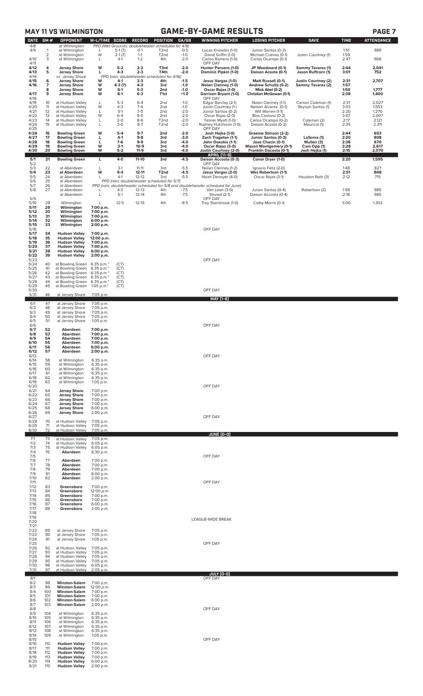| <b>DATE</b><br><b>OPPONENT</b><br>W-L/TIME<br><b>SCORE</b><br><b>RECORD</b><br>POSITION<br>GA/GB<br><b>WINNING PITCHER</b><br><b>LOSING PITCHER</b><br><b>TIME</b><br>PPD (Wet Grounds; doubleheader scheduled for 4/9)<br>4/8<br>at Wilmington<br>4/9<br>$-0.5$<br>989<br>at Wilmington<br>$5-1(7)$<br>$0 - 1$<br>Junior Santos (0-2)<br>1:51<br>$\mathbf{1}$<br>T <sub>2</sub> nd<br>Lucas Knowles (1-0)<br>L<br>$\overline{2}$<br>1:59<br>W<br>$2-1(7)$<br>$1 - 1$<br>$-1.0$<br>at Wilmington<br>T <sub>2</sub> nd<br>David Griffin (1-0)<br>Michael Cuevas (0-1)<br>Justin Courtney (1)<br>3<br>4/10<br>at Wilmington<br>$4-1$<br>$1 - 2$<br>4th<br>$-2.0$<br>Carlos Romero (1-0)<br>Carlos Ocampo (0-1)<br>2:47<br>966<br>L<br>4/11<br>OFF DAY<br>4<br>W<br>4/12<br><b>Jersey Shore</b><br>$5-2$<br>$2 - 2$<br>T3rd<br>$-2.0$<br>Hunter Parsons (1-0)<br>JP Woodward (0-1)<br>2:44<br>2,041<br><b>Sammy Tavares (1)</b><br>5<br>Dominic Pipkin (1-0)<br>4/13<br>$4 - 3$<br>$2 - 3$<br>T4th<br>$-2.0$<br>Daison Acosta (0-1)<br>3:01<br><b>Jersey Shore</b><br>L<br>Jason Ruffcorn (1)<br>752<br>4/14<br>PPD (rain; doubleheader scheduled for 4/16)<br>vs. Jersey Shore<br>4/15<br>6<br><b>Jersey Shore</b><br>$4-1$<br>$3-3$<br>4th<br>$-1.5$<br>Jesus Vargas (1-0)<br>Matt Russell (0-1)<br>Justin Courtney (2)<br>2:31<br>2,707<br>W<br>4/16<br>7<br><b>Jersey Shore</b><br>W<br>4-3 (7)<br>$4 - 3$<br>3rd<br>$-1.0$<br>Nolan Clenney (1-0)<br>Andrew Schultz (0-2)<br>Sammy Tavarez (2)<br>1:57<br>$5-3$<br>8<br>W<br>Mick Abel (0-2)<br>1:50<br>1,777<br><b>Jersey Shore</b><br>$6-1$<br>2nd<br>$-1.0$<br>Oscar Rojas (1-0)<br>4/17<br>2:38<br><b>Jersey Shore</b><br>W<br>$6-1$<br>$6 - 3$<br>$+1.0$<br>Garrison Bryant (1-0)<br>Christian McGowan (0-1)<br>1,400<br>9<br>T1st<br>4/18<br>OFF DAY<br>4/19<br>$5 - 3$<br>10<br>at Hudson Valley<br>L<br>$6 - 4$<br>2nd<br>$-1.0$<br>Edgar Barclay (2-1)<br>Nolan Clenney (1-1)<br>Carson Coleman (1)<br>2:31<br>2,027<br>4/20<br>W<br>$4 - 3$<br>$7 - 4$<br>3:03<br>11<br>at Hudson Valley<br>2 <sub>nd</sub><br>$-1.0$<br>Justin Courtney (1-)<br>Nelson Alvarez (0-1)<br>Reyson Santos (1)<br>1,553<br>$5-1$<br>$7-5$<br>4/21<br>12<br>at Hudson Valley<br>L<br>2nd<br>$-2.0$<br>Will Warren (1-1)<br>2:20<br>1,270<br>Junior Santos (0-2)<br>4/22<br>W<br>$6 - 4$<br>$8 - 5$<br>$-2.0$<br>Oscar Rojas (2-0)<br>Blas Castano (0-2)<br>3:07<br>2,007<br>13<br>at Hudson Valley<br>2nd<br>4/23<br>at Hudson Valley<br>$2 - 0$<br>$8-6$<br>$-2.0$<br>Tanner Myatt (1-0)<br>Carlos Ocampo (0-2)<br>2:17<br>2,121<br>14<br>L<br>T <sub>2</sub> nd<br>Coleman (2)<br>4/24<br>Rodney Hutchison (1-0)<br>Daison Acosta (0-2)<br>2:35<br>15<br>at Hudson Valley<br>L<br>$3 - 0$<br>$8 - 7$<br>T <sub>2</sub> nd<br>$-2.0$<br>Mauricio (1)<br>2.311<br>OFF DAY<br>4/25<br>W<br>$9 - 7$<br>653<br>4/26<br>16<br>$5 - 4$<br>2nd<br>$-2.0$<br>Josh Hejka (1-0)<br>Graeme Stinson (2-2)<br>2:44<br><b>Bowling Green</b><br>$9 - 8$<br>2:20<br>808<br>4/27<br>17<br>$4-1$<br>$-3.0$<br>Zach Trageton (1-1)<br><b>Bowling Green</b><br>L<br>3rd<br>Junior Santos (0-3)<br>LaSorsa (1)<br>4/28<br>18<br><b>Bowling Green</b><br>L<br>$7-6$<br>$9-9$<br>$-4.0$<br>John Doxakis (1-1)<br>Jose Chacin (0-1)<br>Mullen (3)<br>2:38<br>670<br>3rd<br>4/29<br>19<br><b>Bowling Green</b><br>W<br>$10-9$<br>$-4.0$<br>Oscar Rojas (3-0)<br><b>Mason Montgomery (0-1)</b><br>Cam Opp (1)<br>2:28<br>2,617<br>$3-1$<br>3rd<br>4/30<br>20<br>W<br><b>Bowling Green</b><br>$5 - 2$<br>$11-9$<br>$-4.0$<br>Franklin Dacosta (0-1)<br>Josh Hejka (1)<br>2:15<br>2,070<br>3rd<br>Justin Courtney (2-0)<br><b>APRIL [11-9]</b><br>5/1<br>21<br>$-4.5$<br>Conor Dryer (1-0)<br>2:20<br>1,595<br><b>Bowling Green</b><br>L<br>4-0<br>11-10<br>3rd<br>Daison Accosta (0-3)<br>5/2<br>OFF DAY<br>5/3<br>827<br>22<br>at Aberdeen<br>L<br>$3-1$<br>$11 - 11$<br>3rd<br>$-5.5$<br>Nolan Clenney (1-2)<br>Ignacio Feliz (2-0)<br>1:48<br>5/4<br>23<br>W<br>$9 - 4$<br>$12 - 11$<br>2:51<br>at Aberdeen<br>T <sub>2</sub> nd<br>$-4.5$<br>Jesus Vargas (2-0)<br>Wes Robertson (1-1)<br>848<br>$\frac{5}{5}$<br>24<br>$4-1$<br>$12 - 12$<br>$-5.5$<br>2:12<br>715<br>at Aberdeen<br>3rd<br>Noah Denoyer (4-0)<br>Oscar Rojas (3-1)<br>Houston Roth (3)<br>L.<br>25<br>PPD (rain; doubleheader scheduled for 5/7)<br>at Aberdeen<br>5/7<br>26<br>at Aberdeen<br>PPD (rain; doubleheader scheduled for 5/8 and doubleheader schedued for June)<br>5/8<br>985<br>27<br>$12 - 13$<br>Junior Santos (0-4)<br>1:56<br>at Aberdeen<br>$4 - 3$<br>4th<br>$-7.5$<br>Van Loon (3-0)<br>Robertson (2)<br>$5-1$<br>$-7.5$<br>L<br>$12 - 14$<br>Strowd (2-1)<br>Daison Accosta (0-4)<br>2:16<br>985<br>at Aberdeen<br>4th<br>5/9<br>OFF DAY<br>5/10<br>$-8.5$<br>28<br>$12 - 5$<br>$12 - 15$<br>4th<br>Troy Stainbrook (1-0)<br>Colby Morris (0-1)<br>3:00<br>1,302<br>Wilmington<br>L<br>5/11<br>29<br>Wilmington<br>7:00 p.m.<br>5/12<br>30<br>Wilmington<br>7:00 p.m.<br>5/13<br>31<br>Wilmington<br>7:00 p.m.<br>32<br>5/14<br>Wilmington<br>6:00 p.m.<br>5/15<br>33<br>Wilmington<br>2:00 p.m.<br>5/16<br>OFF DAY<br>5/17<br>34<br><b>Hudson Valley</b><br>7:00 p.m.<br>5/18<br>35<br><b>Hudson Valley</b><br>12:00 p.m.<br>5/19<br>36<br><b>Hudson Valley</b><br>7:00 p.m.<br>5/20<br>37<br><b>Hudson Valley</b><br>7:00 p.m.<br>5/21<br>38<br><b>Hudson Valley</b><br>6:00 p.m.<br>5/22<br>39<br><b>Hudson Valley</b><br>2:00 p.m.<br>5/23<br>OFF DAY<br>5/24<br>40<br>at Bowling Green 6:35 p.m.*<br>(CT)<br>5/25<br>41<br>at Bowling Green<br>6:35 p.m.*<br>(CT)<br>5/26<br>42<br>at Bowling Green<br>6:35 p.m.*<br>(CT)<br>5/27<br>43<br>at Bowling Green<br>$6:35$ p.m. $*$<br>(CT)<br>5/28<br>44<br>at Bowling Green<br>6:35 p.m.*<br>(CT)<br>5/29<br>45<br>at Bowling Green<br>1:05 p.m. $*$<br>(CT)<br>OFF DAY<br>5/30<br>5/31<br>46<br>at Jersey Shore<br>7:05 p.m.<br><b>MAY [1-6]</b><br>47<br>6/1<br>at Jersey Shore<br>7:05 p.m.<br>6/2<br>48<br>at Jersey Shore<br>7:05 p.m.<br>6/3<br>49<br>at Jersey Shore<br>7:05 p.m.<br>6/4<br>50<br>at Jersey Shore<br>7:05 p.m.<br>6/5<br>51<br>at Jersey Shore<br>1:05 p.m.<br>6/6<br>OFF DAY<br>6/7<br>52<br>Aberdeen<br>7:00 p.m.<br>6/8<br>53<br>Aberdeen<br>7:00 p.m.<br>6/9<br>54<br>Aberdeen<br>7:00 p.m.<br>55<br>6/10<br>Aberdeen<br>7:00 p.m.<br>6/11<br>56<br>6:00 p.m.<br>Aberdeen<br>6/12<br>57<br>Aberdeen<br>2:00 p.m.<br>OFF DAY<br>6/13<br>6/14<br>58<br>at Wilmington<br>6:35 p.m.<br>6/15<br>59<br>at Wilmington<br>6:35 p.m.<br>6/16<br>60<br>at Wilmington<br>6:35 p.m.<br>6/17<br>at Wilmington<br>61<br>6:35 p.m.<br>6/18<br>62<br>at Wilmington<br>6:35 p.m.<br>6/19<br>63<br>at Wilmington<br>1:05 p.m.<br>6/20<br>OFF DAY<br>6/21<br>64<br><b>Jersey Shore</b><br>7:00 p.m.<br>6/22<br>65<br><b>Jersey Shore</b><br>7:00 p.m.<br>6/23<br>66<br><b>Jersey Shore</b><br>7:00 p.m.<br>6/24<br>67<br><b>Jersey Shore</b><br>7:00 p.m.<br>6/25<br>68<br><b>Jersey Shore</b><br>6:00 p.m.<br>6/26<br><b>Jersey Shore</b><br>69<br>2:00 p.m.<br>6/27<br>OFF DAY<br>6/28<br>70<br>at Hudson Valley<br>7:05 p.m.<br>6/29<br>at Hudson Valley<br>71<br>7:05 p.m.<br>6/30<br>72<br>at Hudson Valley<br>7:05 p.m.<br><u>JUNE (0-0)</u><br>7/1<br>73<br>at Hudson Valley<br>7:05 p.m.<br>7/2<br>74<br>at Hudson Valley<br>6:05 p.m.<br>7/3<br>75<br>at Hudson Valley<br>6:05 p.m.<br>7/4<br>Aberdeen<br>76<br>6:30 p.m.<br>7/5<br>OFF DAY<br>7/6<br>77<br>Aberdeen<br>7:00 p.m.<br>7/7<br>78<br>Aberdeen<br>7:00 p.m.<br>7/8<br>79<br>Aberdeen<br>7:00 p.m.<br>7/9<br>81<br>Aberdeen<br>6:00 p.m.<br>7/10<br>82<br>Aberdeen<br>2:00 p.m.<br>7/11<br>OFF DAY<br>7/12<br>83<br>Greensboro<br>7:00 p.m.<br>7/13<br>84<br>Greensboro<br>12:00 p.m.<br>7/14<br>85<br>7:00 p.m.<br>Greensboro<br>7/15<br>86<br>Greensboro<br>7:00 p.m.<br>7/16<br>87<br>Greensboro<br>6:00 p.m.<br>7/17<br>88<br>Greensboro<br>2:00 p.m.<br>7/18<br>7/19<br>LEAGUE-WIDE BREAK<br>7/20<br>7/21<br>7/22<br>89<br>at Jersey Shore<br>7:05 p.m.<br>7/23<br>90<br>at Jersey Shore<br>7:05 p.m.<br>7/24<br>91<br>at Jersey Shore<br>1:05 p.m.<br>OFF DAY<br>7/25<br>7/26<br>at Hudson Valley<br>92<br>7:05 p.m.<br>7/27<br>93<br>at Hudson Valley<br>7:05 p.m.<br>7/28<br>94<br>at Hudson Valley<br>7:05 p.m.<br>7/29<br>95<br>at Hudson Valley<br>7:05 p.m.<br>7/30<br>96<br>at Hudson Valley<br>6:05 p.m.<br>7/31<br>97<br>at Hudson Valley<br>2:05 p.m.<br>JULY (0-0)<br>8/1<br>OFF DAY<br>8/2<br>98<br><b>Winston-Salem</b><br>7:00 p.m.<br>8/3<br>99<br><b>Winston-Salem</b><br>12:00 p.m.<br>8/4<br>100<br><b>Winston-Salem</b><br>7:00 p.m.<br>8/5<br><b>Winston-Salem</b><br>101<br>7:00 p.m.<br>8/6<br><b>Winston-Salem</b><br>102<br>6:00 p.m.<br>8/7<br>103<br><b>Winston-Salem</b><br>2:00 p.m.<br>8/8<br>OFF DAY<br>8/9<br>104<br>at Wilmington<br>6:35 p.m.<br>8/10<br>105<br>at Wilmington<br>6:35 p.m.<br>8/11<br>106<br>at Wilmington<br>6:35 p.m.<br>8/12<br>107<br>at Wilmington<br>6:35 p.m.<br>8/13<br>108<br>at Wilmington<br>6:35 p.m.<br>8/14<br>109<br>at Wilmington<br>$1:05$ p.m.<br>OFF DAY<br>8/15<br>8/16<br>110<br><b>Hudson Valley</b><br>7:00 p.m.<br>8/17<br>111<br><b>Hudson Valley</b><br>7:00 p.m.<br>8/18<br>112<br><b>Hudson Valley</b><br>7:00 p.m.<br>8/19<br>113<br><b>Hudson Valley</b><br>7:00 p.m.<br><b>Hudson Valley</b><br>8/20<br>114<br>6:00 p.m. | <b>GAME-BY-GAME RESULTS</b><br><b>MAY 11 VS WILMINGTON</b> |  |  |  |  |  | PAGE <sub>7</sub> |             |  |                   |
|-------------------------------------------------------------------------------------------------------------------------------------------------------------------------------------------------------------------------------------------------------------------------------------------------------------------------------------------------------------------------------------------------------------------------------------------------------------------------------------------------------------------------------------------------------------------------------------------------------------------------------------------------------------------------------------------------------------------------------------------------------------------------------------------------------------------------------------------------------------------------------------------------------------------------------------------------------------------------------------------------------------------------------------------------------------------------------------------------------------------------------------------------------------------------------------------------------------------------------------------------------------------------------------------------------------------------------------------------------------------------------------------------------------------------------------------------------------------------------------------------------------------------------------------------------------------------------------------------------------------------------------------------------------------------------------------------------------------------------------------------------------------------------------------------------------------------------------------------------------------------------------------------------------------------------------------------------------------------------------------------------------------------------------------------------------------------------------------------------------------------------------------------------------------------------------------------------------------------------------------------------------------------------------------------------------------------------------------------------------------------------------------------------------------------------------------------------------------------------------------------------------------------------------------------------------------------------------------------------------------------------------------------------------------------------------------------------------------------------------------------------------------------------------------------------------------------------------------------------------------------------------------------------------------------------------------------------------------------------------------------------------------------------------------------------------------------------------------------------------------------------------------------------------------------------------------------------------------------------------------------------------------------------------------------------------------------------------------------------------------------------------------------------------------------------------------------------------------------------------------------------------------------------------------------------------------------------------------------------------------------------------------------------------------------------------------------------------------------------------------------------------------------------------------------------------------------------------------------------------------------------------------------------------------------------------------------------------------------------------------------------------------------------------------------------------------------------------------------------------------------------------------------------------------------------------------------------------------------------------------------------------------------------------------------------------------------------------------------------------------------------------------------------------------------------------------------------------------------------------------------------------------------------------------------------------------------------------------------------------------------------------------------------------------------------------------------------------------------------------------------------------------------------------------------------------------------------------------------------------------------------------------------------------------------------------------------------------------------------------------------------------------------------------------------------------------------------------------------------------------------------------------------------------------------------------------------------------------------------------------------------------------------------------------------------------------------------------------------------------------------------------------------------------------------------------------------------------------------------------------------------------------------------------------------------------------------------------------------------------------------------------------------------------------------------------------------------------------------------------------------------------------------------------------------------------------------------------------------------------------------------------------------------------------------------------------------------------------------------------------------------------------------------------------------------------------------------------------------------------------------------------------------------------------------------------------------------------------------------------------------------------------------------------------------------------------------------------------------------------------------------------------------------------------------------------------------------------------------------------------------------------------------------------------------------------------------------------------------------------------------------------------------------------------------------------------------------------------------------------------------------------------------------------------------------------------------------------------------------------------------------------------------------------------------------------------------------------------------------------------------------------------------------------------------------------------------------------------------------------------------------------------------------------------------------------------------------------------------------------------------------------------------------------------------------------------------------------------------------------------------------------------------------------------------------------------------------------------------------------------------------------------------------------------------------------------------------------------------------------------------------------------------------------------------------------------------------------------------------------------------------------------------------------------------------------------------------------------------------------------------------------------------------------------------------------------------------------------------------------------------------------------------------------------------------------------------------------------------------------------------------------------------------------------------------------------------------------------------------------------------------------------------------------------------------------------------------------------------------------------------------------------------------------------------------------------------------------------------------------------------------------------------------------------------------------------------------------------------------------------------------------------------------------------------------------------------------------------------------------------------------------------------------------------------------------------------------------------------------------------------------------------------------------------------------------------------------------------------------------------------------------------------------------------------------------------------------------------------------------------------------------------------------------------------------------------------------------------------------------------------------------------------------------------------------------------------------------------------------|------------------------------------------------------------|--|--|--|--|--|-------------------|-------------|--|-------------------|
|                                                                                                                                                                                                                                                                                                                                                                                                                                                                                                                                                                                                                                                                                                                                                                                                                                                                                                                                                                                                                                                                                                                                                                                                                                                                                                                                                                                                                                                                                                                                                                                                                                                                                                                                                                                                                                                                                                                                                                                                                                                                                                                                                                                                                                                                                                                                                                                                                                                                                                                                                                                                                                                                                                                                                                                                                                                                                                                                                                                                                                                                                                                                                                                                                                                                                                                                                                                                                                                                                                                                                                                                                                                                                                                                                                                                                                                                                                                                                                                                                                                                                                                                                                                                                                                                                                                                                                                                                                                                                                                                                                                                                                                                                                                                                                                                                                                                                                                                                                                                                                                                                                                                                                                                                                                                                                                                                                                                                                                                                                                                                                                                                                                                                                                                                                                                                                                                                                                                                                                                                                                                                                                                                                                                                                                                                                                                                                                                                                                                                                                                                                                                                                                                                                                                                                                                                                                                                                                                                                                                                                                                                                                                                                                                                                                                                                                                                                                                                                                                                                                                                                                                                                                                                                                                                                                                                                                                                                                                                                                                                                                                                                                                                                                                                                                                                                                                                                                                                                                                                                                                                                                                                                                                                                                                                                                                                                                                                                                                                                                                                                                                                                                                                                                                                                                                                                                                                       | GM#                                                        |  |  |  |  |  |                   | <b>SAVE</b> |  | <b>ATTENDANCE</b> |
|                                                                                                                                                                                                                                                                                                                                                                                                                                                                                                                                                                                                                                                                                                                                                                                                                                                                                                                                                                                                                                                                                                                                                                                                                                                                                                                                                                                                                                                                                                                                                                                                                                                                                                                                                                                                                                                                                                                                                                                                                                                                                                                                                                                                                                                                                                                                                                                                                                                                                                                                                                                                                                                                                                                                                                                                                                                                                                                                                                                                                                                                                                                                                                                                                                                                                                                                                                                                                                                                                                                                                                                                                                                                                                                                                                                                                                                                                                                                                                                                                                                                                                                                                                                                                                                                                                                                                                                                                                                                                                                                                                                                                                                                                                                                                                                                                                                                                                                                                                                                                                                                                                                                                                                                                                                                                                                                                                                                                                                                                                                                                                                                                                                                                                                                                                                                                                                                                                                                                                                                                                                                                                                                                                                                                                                                                                                                                                                                                                                                                                                                                                                                                                                                                                                                                                                                                                                                                                                                                                                                                                                                                                                                                                                                                                                                                                                                                                                                                                                                                                                                                                                                                                                                                                                                                                                                                                                                                                                                                                                                                                                                                                                                                                                                                                                                                                                                                                                                                                                                                                                                                                                                                                                                                                                                                                                                                                                                                                                                                                                                                                                                                                                                                                                                                                                                                                                                                       |                                                            |  |  |  |  |  |                   |             |  |                   |
|                                                                                                                                                                                                                                                                                                                                                                                                                                                                                                                                                                                                                                                                                                                                                                                                                                                                                                                                                                                                                                                                                                                                                                                                                                                                                                                                                                                                                                                                                                                                                                                                                                                                                                                                                                                                                                                                                                                                                                                                                                                                                                                                                                                                                                                                                                                                                                                                                                                                                                                                                                                                                                                                                                                                                                                                                                                                                                                                                                                                                                                                                                                                                                                                                                                                                                                                                                                                                                                                                                                                                                                                                                                                                                                                                                                                                                                                                                                                                                                                                                                                                                                                                                                                                                                                                                                                                                                                                                                                                                                                                                                                                                                                                                                                                                                                                                                                                                                                                                                                                                                                                                                                                                                                                                                                                                                                                                                                                                                                                                                                                                                                                                                                                                                                                                                                                                                                                                                                                                                                                                                                                                                                                                                                                                                                                                                                                                                                                                                                                                                                                                                                                                                                                                                                                                                                                                                                                                                                                                                                                                                                                                                                                                                                                                                                                                                                                                                                                                                                                                                                                                                                                                                                                                                                                                                                                                                                                                                                                                                                                                                                                                                                                                                                                                                                                                                                                                                                                                                                                                                                                                                                                                                                                                                                                                                                                                                                                                                                                                                                                                                                                                                                                                                                                                                                                                                                                       |                                                            |  |  |  |  |  |                   |             |  |                   |
|                                                                                                                                                                                                                                                                                                                                                                                                                                                                                                                                                                                                                                                                                                                                                                                                                                                                                                                                                                                                                                                                                                                                                                                                                                                                                                                                                                                                                                                                                                                                                                                                                                                                                                                                                                                                                                                                                                                                                                                                                                                                                                                                                                                                                                                                                                                                                                                                                                                                                                                                                                                                                                                                                                                                                                                                                                                                                                                                                                                                                                                                                                                                                                                                                                                                                                                                                                                                                                                                                                                                                                                                                                                                                                                                                                                                                                                                                                                                                                                                                                                                                                                                                                                                                                                                                                                                                                                                                                                                                                                                                                                                                                                                                                                                                                                                                                                                                                                                                                                                                                                                                                                                                                                                                                                                                                                                                                                                                                                                                                                                                                                                                                                                                                                                                                                                                                                                                                                                                                                                                                                                                                                                                                                                                                                                                                                                                                                                                                                                                                                                                                                                                                                                                                                                                                                                                                                                                                                                                                                                                                                                                                                                                                                                                                                                                                                                                                                                                                                                                                                                                                                                                                                                                                                                                                                                                                                                                                                                                                                                                                                                                                                                                                                                                                                                                                                                                                                                                                                                                                                                                                                                                                                                                                                                                                                                                                                                                                                                                                                                                                                                                                                                                                                                                                                                                                                                                       |                                                            |  |  |  |  |  |                   |             |  |                   |
|                                                                                                                                                                                                                                                                                                                                                                                                                                                                                                                                                                                                                                                                                                                                                                                                                                                                                                                                                                                                                                                                                                                                                                                                                                                                                                                                                                                                                                                                                                                                                                                                                                                                                                                                                                                                                                                                                                                                                                                                                                                                                                                                                                                                                                                                                                                                                                                                                                                                                                                                                                                                                                                                                                                                                                                                                                                                                                                                                                                                                                                                                                                                                                                                                                                                                                                                                                                                                                                                                                                                                                                                                                                                                                                                                                                                                                                                                                                                                                                                                                                                                                                                                                                                                                                                                                                                                                                                                                                                                                                                                                                                                                                                                                                                                                                                                                                                                                                                                                                                                                                                                                                                                                                                                                                                                                                                                                                                                                                                                                                                                                                                                                                                                                                                                                                                                                                                                                                                                                                                                                                                                                                                                                                                                                                                                                                                                                                                                                                                                                                                                                                                                                                                                                                                                                                                                                                                                                                                                                                                                                                                                                                                                                                                                                                                                                                                                                                                                                                                                                                                                                                                                                                                                                                                                                                                                                                                                                                                                                                                                                                                                                                                                                                                                                                                                                                                                                                                                                                                                                                                                                                                                                                                                                                                                                                                                                                                                                                                                                                                                                                                                                                                                                                                                                                                                                                                                       |                                                            |  |  |  |  |  |                   |             |  |                   |
|                                                                                                                                                                                                                                                                                                                                                                                                                                                                                                                                                                                                                                                                                                                                                                                                                                                                                                                                                                                                                                                                                                                                                                                                                                                                                                                                                                                                                                                                                                                                                                                                                                                                                                                                                                                                                                                                                                                                                                                                                                                                                                                                                                                                                                                                                                                                                                                                                                                                                                                                                                                                                                                                                                                                                                                                                                                                                                                                                                                                                                                                                                                                                                                                                                                                                                                                                                                                                                                                                                                                                                                                                                                                                                                                                                                                                                                                                                                                                                                                                                                                                                                                                                                                                                                                                                                                                                                                                                                                                                                                                                                                                                                                                                                                                                                                                                                                                                                                                                                                                                                                                                                                                                                                                                                                                                                                                                                                                                                                                                                                                                                                                                                                                                                                                                                                                                                                                                                                                                                                                                                                                                                                                                                                                                                                                                                                                                                                                                                                                                                                                                                                                                                                                                                                                                                                                                                                                                                                                                                                                                                                                                                                                                                                                                                                                                                                                                                                                                                                                                                                                                                                                                                                                                                                                                                                                                                                                                                                                                                                                                                                                                                                                                                                                                                                                                                                                                                                                                                                                                                                                                                                                                                                                                                                                                                                                                                                                                                                                                                                                                                                                                                                                                                                                                                                                                                                                       |                                                            |  |  |  |  |  |                   |             |  |                   |
|                                                                                                                                                                                                                                                                                                                                                                                                                                                                                                                                                                                                                                                                                                                                                                                                                                                                                                                                                                                                                                                                                                                                                                                                                                                                                                                                                                                                                                                                                                                                                                                                                                                                                                                                                                                                                                                                                                                                                                                                                                                                                                                                                                                                                                                                                                                                                                                                                                                                                                                                                                                                                                                                                                                                                                                                                                                                                                                                                                                                                                                                                                                                                                                                                                                                                                                                                                                                                                                                                                                                                                                                                                                                                                                                                                                                                                                                                                                                                                                                                                                                                                                                                                                                                                                                                                                                                                                                                                                                                                                                                                                                                                                                                                                                                                                                                                                                                                                                                                                                                                                                                                                                                                                                                                                                                                                                                                                                                                                                                                                                                                                                                                                                                                                                                                                                                                                                                                                                                                                                                                                                                                                                                                                                                                                                                                                                                                                                                                                                                                                                                                                                                                                                                                                                                                                                                                                                                                                                                                                                                                                                                                                                                                                                                                                                                                                                                                                                                                                                                                                                                                                                                                                                                                                                                                                                                                                                                                                                                                                                                                                                                                                                                                                                                                                                                                                                                                                                                                                                                                                                                                                                                                                                                                                                                                                                                                                                                                                                                                                                                                                                                                                                                                                                                                                                                                                                                       |                                                            |  |  |  |  |  |                   |             |  |                   |
|                                                                                                                                                                                                                                                                                                                                                                                                                                                                                                                                                                                                                                                                                                                                                                                                                                                                                                                                                                                                                                                                                                                                                                                                                                                                                                                                                                                                                                                                                                                                                                                                                                                                                                                                                                                                                                                                                                                                                                                                                                                                                                                                                                                                                                                                                                                                                                                                                                                                                                                                                                                                                                                                                                                                                                                                                                                                                                                                                                                                                                                                                                                                                                                                                                                                                                                                                                                                                                                                                                                                                                                                                                                                                                                                                                                                                                                                                                                                                                                                                                                                                                                                                                                                                                                                                                                                                                                                                                                                                                                                                                                                                                                                                                                                                                                                                                                                                                                                                                                                                                                                                                                                                                                                                                                                                                                                                                                                                                                                                                                                                                                                                                                                                                                                                                                                                                                                                                                                                                                                                                                                                                                                                                                                                                                                                                                                                                                                                                                                                                                                                                                                                                                                                                                                                                                                                                                                                                                                                                                                                                                                                                                                                                                                                                                                                                                                                                                                                                                                                                                                                                                                                                                                                                                                                                                                                                                                                                                                                                                                                                                                                                                                                                                                                                                                                                                                                                                                                                                                                                                                                                                                                                                                                                                                                                                                                                                                                                                                                                                                                                                                                                                                                                                                                                                                                                                                                       |                                                            |  |  |  |  |  |                   |             |  |                   |
|                                                                                                                                                                                                                                                                                                                                                                                                                                                                                                                                                                                                                                                                                                                                                                                                                                                                                                                                                                                                                                                                                                                                                                                                                                                                                                                                                                                                                                                                                                                                                                                                                                                                                                                                                                                                                                                                                                                                                                                                                                                                                                                                                                                                                                                                                                                                                                                                                                                                                                                                                                                                                                                                                                                                                                                                                                                                                                                                                                                                                                                                                                                                                                                                                                                                                                                                                                                                                                                                                                                                                                                                                                                                                                                                                                                                                                                                                                                                                                                                                                                                                                                                                                                                                                                                                                                                                                                                                                                                                                                                                                                                                                                                                                                                                                                                                                                                                                                                                                                                                                                                                                                                                                                                                                                                                                                                                                                                                                                                                                                                                                                                                                                                                                                                                                                                                                                                                                                                                                                                                                                                                                                                                                                                                                                                                                                                                                                                                                                                                                                                                                                                                                                                                                                                                                                                                                                                                                                                                                                                                                                                                                                                                                                                                                                                                                                                                                                                                                                                                                                                                                                                                                                                                                                                                                                                                                                                                                                                                                                                                                                                                                                                                                                                                                                                                                                                                                                                                                                                                                                                                                                                                                                                                                                                                                                                                                                                                                                                                                                                                                                                                                                                                                                                                                                                                                                                                       |                                                            |  |  |  |  |  |                   |             |  |                   |
|                                                                                                                                                                                                                                                                                                                                                                                                                                                                                                                                                                                                                                                                                                                                                                                                                                                                                                                                                                                                                                                                                                                                                                                                                                                                                                                                                                                                                                                                                                                                                                                                                                                                                                                                                                                                                                                                                                                                                                                                                                                                                                                                                                                                                                                                                                                                                                                                                                                                                                                                                                                                                                                                                                                                                                                                                                                                                                                                                                                                                                                                                                                                                                                                                                                                                                                                                                                                                                                                                                                                                                                                                                                                                                                                                                                                                                                                                                                                                                                                                                                                                                                                                                                                                                                                                                                                                                                                                                                                                                                                                                                                                                                                                                                                                                                                                                                                                                                                                                                                                                                                                                                                                                                                                                                                                                                                                                                                                                                                                                                                                                                                                                                                                                                                                                                                                                                                                                                                                                                                                                                                                                                                                                                                                                                                                                                                                                                                                                                                                                                                                                                                                                                                                                                                                                                                                                                                                                                                                                                                                                                                                                                                                                                                                                                                                                                                                                                                                                                                                                                                                                                                                                                                                                                                                                                                                                                                                                                                                                                                                                                                                                                                                                                                                                                                                                                                                                                                                                                                                                                                                                                                                                                                                                                                                                                                                                                                                                                                                                                                                                                                                                                                                                                                                                                                                                                                                       |                                                            |  |  |  |  |  |                   |             |  |                   |
|                                                                                                                                                                                                                                                                                                                                                                                                                                                                                                                                                                                                                                                                                                                                                                                                                                                                                                                                                                                                                                                                                                                                                                                                                                                                                                                                                                                                                                                                                                                                                                                                                                                                                                                                                                                                                                                                                                                                                                                                                                                                                                                                                                                                                                                                                                                                                                                                                                                                                                                                                                                                                                                                                                                                                                                                                                                                                                                                                                                                                                                                                                                                                                                                                                                                                                                                                                                                                                                                                                                                                                                                                                                                                                                                                                                                                                                                                                                                                                                                                                                                                                                                                                                                                                                                                                                                                                                                                                                                                                                                                                                                                                                                                                                                                                                                                                                                                                                                                                                                                                                                                                                                                                                                                                                                                                                                                                                                                                                                                                                                                                                                                                                                                                                                                                                                                                                                                                                                                                                                                                                                                                                                                                                                                                                                                                                                                                                                                                                                                                                                                                                                                                                                                                                                                                                                                                                                                                                                                                                                                                                                                                                                                                                                                                                                                                                                                                                                                                                                                                                                                                                                                                                                                                                                                                                                                                                                                                                                                                                                                                                                                                                                                                                                                                                                                                                                                                                                                                                                                                                                                                                                                                                                                                                                                                                                                                                                                                                                                                                                                                                                                                                                                                                                                                                                                                                                                       |                                                            |  |  |  |  |  |                   |             |  |                   |
|                                                                                                                                                                                                                                                                                                                                                                                                                                                                                                                                                                                                                                                                                                                                                                                                                                                                                                                                                                                                                                                                                                                                                                                                                                                                                                                                                                                                                                                                                                                                                                                                                                                                                                                                                                                                                                                                                                                                                                                                                                                                                                                                                                                                                                                                                                                                                                                                                                                                                                                                                                                                                                                                                                                                                                                                                                                                                                                                                                                                                                                                                                                                                                                                                                                                                                                                                                                                                                                                                                                                                                                                                                                                                                                                                                                                                                                                                                                                                                                                                                                                                                                                                                                                                                                                                                                                                                                                                                                                                                                                                                                                                                                                                                                                                                                                                                                                                                                                                                                                                                                                                                                                                                                                                                                                                                                                                                                                                                                                                                                                                                                                                                                                                                                                                                                                                                                                                                                                                                                                                                                                                                                                                                                                                                                                                                                                                                                                                                                                                                                                                                                                                                                                                                                                                                                                                                                                                                                                                                                                                                                                                                                                                                                                                                                                                                                                                                                                                                                                                                                                                                                                                                                                                                                                                                                                                                                                                                                                                                                                                                                                                                                                                                                                                                                                                                                                                                                                                                                                                                                                                                                                                                                                                                                                                                                                                                                                                                                                                                                                                                                                                                                                                                                                                                                                                                                                                       |                                                            |  |  |  |  |  |                   |             |  |                   |
|                                                                                                                                                                                                                                                                                                                                                                                                                                                                                                                                                                                                                                                                                                                                                                                                                                                                                                                                                                                                                                                                                                                                                                                                                                                                                                                                                                                                                                                                                                                                                                                                                                                                                                                                                                                                                                                                                                                                                                                                                                                                                                                                                                                                                                                                                                                                                                                                                                                                                                                                                                                                                                                                                                                                                                                                                                                                                                                                                                                                                                                                                                                                                                                                                                                                                                                                                                                                                                                                                                                                                                                                                                                                                                                                                                                                                                                                                                                                                                                                                                                                                                                                                                                                                                                                                                                                                                                                                                                                                                                                                                                                                                                                                                                                                                                                                                                                                                                                                                                                                                                                                                                                                                                                                                                                                                                                                                                                                                                                                                                                                                                                                                                                                                                                                                                                                                                                                                                                                                                                                                                                                                                                                                                                                                                                                                                                                                                                                                                                                                                                                                                                                                                                                                                                                                                                                                                                                                                                                                                                                                                                                                                                                                                                                                                                                                                                                                                                                                                                                                                                                                                                                                                                                                                                                                                                                                                                                                                                                                                                                                                                                                                                                                                                                                                                                                                                                                                                                                                                                                                                                                                                                                                                                                                                                                                                                                                                                                                                                                                                                                                                                                                                                                                                                                                                                                                                                       |                                                            |  |  |  |  |  |                   |             |  |                   |
|                                                                                                                                                                                                                                                                                                                                                                                                                                                                                                                                                                                                                                                                                                                                                                                                                                                                                                                                                                                                                                                                                                                                                                                                                                                                                                                                                                                                                                                                                                                                                                                                                                                                                                                                                                                                                                                                                                                                                                                                                                                                                                                                                                                                                                                                                                                                                                                                                                                                                                                                                                                                                                                                                                                                                                                                                                                                                                                                                                                                                                                                                                                                                                                                                                                                                                                                                                                                                                                                                                                                                                                                                                                                                                                                                                                                                                                                                                                                                                                                                                                                                                                                                                                                                                                                                                                                                                                                                                                                                                                                                                                                                                                                                                                                                                                                                                                                                                                                                                                                                                                                                                                                                                                                                                                                                                                                                                                                                                                                                                                                                                                                                                                                                                                                                                                                                                                                                                                                                                                                                                                                                                                                                                                                                                                                                                                                                                                                                                                                                                                                                                                                                                                                                                                                                                                                                                                                                                                                                                                                                                                                                                                                                                                                                                                                                                                                                                                                                                                                                                                                                                                                                                                                                                                                                                                                                                                                                                                                                                                                                                                                                                                                                                                                                                                                                                                                                                                                                                                                                                                                                                                                                                                                                                                                                                                                                                                                                                                                                                                                                                                                                                                                                                                                                                                                                                                                                       |                                                            |  |  |  |  |  |                   |             |  |                   |
|                                                                                                                                                                                                                                                                                                                                                                                                                                                                                                                                                                                                                                                                                                                                                                                                                                                                                                                                                                                                                                                                                                                                                                                                                                                                                                                                                                                                                                                                                                                                                                                                                                                                                                                                                                                                                                                                                                                                                                                                                                                                                                                                                                                                                                                                                                                                                                                                                                                                                                                                                                                                                                                                                                                                                                                                                                                                                                                                                                                                                                                                                                                                                                                                                                                                                                                                                                                                                                                                                                                                                                                                                                                                                                                                                                                                                                                                                                                                                                                                                                                                                                                                                                                                                                                                                                                                                                                                                                                                                                                                                                                                                                                                                                                                                                                                                                                                                                                                                                                                                                                                                                                                                                                                                                                                                                                                                                                                                                                                                                                                                                                                                                                                                                                                                                                                                                                                                                                                                                                                                                                                                                                                                                                                                                                                                                                                                                                                                                                                                                                                                                                                                                                                                                                                                                                                                                                                                                                                                                                                                                                                                                                                                                                                                                                                                                                                                                                                                                                                                                                                                                                                                                                                                                                                                                                                                                                                                                                                                                                                                                                                                                                                                                                                                                                                                                                                                                                                                                                                                                                                                                                                                                                                                                                                                                                                                                                                                                                                                                                                                                                                                                                                                                                                                                                                                                                                                       |                                                            |  |  |  |  |  |                   |             |  |                   |
|                                                                                                                                                                                                                                                                                                                                                                                                                                                                                                                                                                                                                                                                                                                                                                                                                                                                                                                                                                                                                                                                                                                                                                                                                                                                                                                                                                                                                                                                                                                                                                                                                                                                                                                                                                                                                                                                                                                                                                                                                                                                                                                                                                                                                                                                                                                                                                                                                                                                                                                                                                                                                                                                                                                                                                                                                                                                                                                                                                                                                                                                                                                                                                                                                                                                                                                                                                                                                                                                                                                                                                                                                                                                                                                                                                                                                                                                                                                                                                                                                                                                                                                                                                                                                                                                                                                                                                                                                                                                                                                                                                                                                                                                                                                                                                                                                                                                                                                                                                                                                                                                                                                                                                                                                                                                                                                                                                                                                                                                                                                                                                                                                                                                                                                                                                                                                                                                                                                                                                                                                                                                                                                                                                                                                                                                                                                                                                                                                                                                                                                                                                                                                                                                                                                                                                                                                                                                                                                                                                                                                                                                                                                                                                                                                                                                                                                                                                                                                                                                                                                                                                                                                                                                                                                                                                                                                                                                                                                                                                                                                                                                                                                                                                                                                                                                                                                                                                                                                                                                                                                                                                                                                                                                                                                                                                                                                                                                                                                                                                                                                                                                                                                                                                                                                                                                                                                                                       |                                                            |  |  |  |  |  |                   |             |  |                   |
|                                                                                                                                                                                                                                                                                                                                                                                                                                                                                                                                                                                                                                                                                                                                                                                                                                                                                                                                                                                                                                                                                                                                                                                                                                                                                                                                                                                                                                                                                                                                                                                                                                                                                                                                                                                                                                                                                                                                                                                                                                                                                                                                                                                                                                                                                                                                                                                                                                                                                                                                                                                                                                                                                                                                                                                                                                                                                                                                                                                                                                                                                                                                                                                                                                                                                                                                                                                                                                                                                                                                                                                                                                                                                                                                                                                                                                                                                                                                                                                                                                                                                                                                                                                                                                                                                                                                                                                                                                                                                                                                                                                                                                                                                                                                                                                                                                                                                                                                                                                                                                                                                                                                                                                                                                                                                                                                                                                                                                                                                                                                                                                                                                                                                                                                                                                                                                                                                                                                                                                                                                                                                                                                                                                                                                                                                                                                                                                                                                                                                                                                                                                                                                                                                                                                                                                                                                                                                                                                                                                                                                                                                                                                                                                                                                                                                                                                                                                                                                                                                                                                                                                                                                                                                                                                                                                                                                                                                                                                                                                                                                                                                                                                                                                                                                                                                                                                                                                                                                                                                                                                                                                                                                                                                                                                                                                                                                                                                                                                                                                                                                                                                                                                                                                                                                                                                                                                                       |                                                            |  |  |  |  |  |                   |             |  |                   |
|                                                                                                                                                                                                                                                                                                                                                                                                                                                                                                                                                                                                                                                                                                                                                                                                                                                                                                                                                                                                                                                                                                                                                                                                                                                                                                                                                                                                                                                                                                                                                                                                                                                                                                                                                                                                                                                                                                                                                                                                                                                                                                                                                                                                                                                                                                                                                                                                                                                                                                                                                                                                                                                                                                                                                                                                                                                                                                                                                                                                                                                                                                                                                                                                                                                                                                                                                                                                                                                                                                                                                                                                                                                                                                                                                                                                                                                                                                                                                                                                                                                                                                                                                                                                                                                                                                                                                                                                                                                                                                                                                                                                                                                                                                                                                                                                                                                                                                                                                                                                                                                                                                                                                                                                                                                                                                                                                                                                                                                                                                                                                                                                                                                                                                                                                                                                                                                                                                                                                                                                                                                                                                                                                                                                                                                                                                                                                                                                                                                                                                                                                                                                                                                                                                                                                                                                                                                                                                                                                                                                                                                                                                                                                                                                                                                                                                                                                                                                                                                                                                                                                                                                                                                                                                                                                                                                                                                                                                                                                                                                                                                                                                                                                                                                                                                                                                                                                                                                                                                                                                                                                                                                                                                                                                                                                                                                                                                                                                                                                                                                                                                                                                                                                                                                                                                                                                                                                       |                                                            |  |  |  |  |  |                   |             |  |                   |
|                                                                                                                                                                                                                                                                                                                                                                                                                                                                                                                                                                                                                                                                                                                                                                                                                                                                                                                                                                                                                                                                                                                                                                                                                                                                                                                                                                                                                                                                                                                                                                                                                                                                                                                                                                                                                                                                                                                                                                                                                                                                                                                                                                                                                                                                                                                                                                                                                                                                                                                                                                                                                                                                                                                                                                                                                                                                                                                                                                                                                                                                                                                                                                                                                                                                                                                                                                                                                                                                                                                                                                                                                                                                                                                                                                                                                                                                                                                                                                                                                                                                                                                                                                                                                                                                                                                                                                                                                                                                                                                                                                                                                                                                                                                                                                                                                                                                                                                                                                                                                                                                                                                                                                                                                                                                                                                                                                                                                                                                                                                                                                                                                                                                                                                                                                                                                                                                                                                                                                                                                                                                                                                                                                                                                                                                                                                                                                                                                                                                                                                                                                                                                                                                                                                                                                                                                                                                                                                                                                                                                                                                                                                                                                                                                                                                                                                                                                                                                                                                                                                                                                                                                                                                                                                                                                                                                                                                                                                                                                                                                                                                                                                                                                                                                                                                                                                                                                                                                                                                                                                                                                                                                                                                                                                                                                                                                                                                                                                                                                                                                                                                                                                                                                                                                                                                                                                                                       |                                                            |  |  |  |  |  |                   |             |  |                   |
|                                                                                                                                                                                                                                                                                                                                                                                                                                                                                                                                                                                                                                                                                                                                                                                                                                                                                                                                                                                                                                                                                                                                                                                                                                                                                                                                                                                                                                                                                                                                                                                                                                                                                                                                                                                                                                                                                                                                                                                                                                                                                                                                                                                                                                                                                                                                                                                                                                                                                                                                                                                                                                                                                                                                                                                                                                                                                                                                                                                                                                                                                                                                                                                                                                                                                                                                                                                                                                                                                                                                                                                                                                                                                                                                                                                                                                                                                                                                                                                                                                                                                                                                                                                                                                                                                                                                                                                                                                                                                                                                                                                                                                                                                                                                                                                                                                                                                                                                                                                                                                                                                                                                                                                                                                                                                                                                                                                                                                                                                                                                                                                                                                                                                                                                                                                                                                                                                                                                                                                                                                                                                                                                                                                                                                                                                                                                                                                                                                                                                                                                                                                                                                                                                                                                                                                                                                                                                                                                                                                                                                                                                                                                                                                                                                                                                                                                                                                                                                                                                                                                                                                                                                                                                                                                                                                                                                                                                                                                                                                                                                                                                                                                                                                                                                                                                                                                                                                                                                                                                                                                                                                                                                                                                                                                                                                                                                                                                                                                                                                                                                                                                                                                                                                                                                                                                                                                                       |                                                            |  |  |  |  |  |                   |             |  |                   |
|                                                                                                                                                                                                                                                                                                                                                                                                                                                                                                                                                                                                                                                                                                                                                                                                                                                                                                                                                                                                                                                                                                                                                                                                                                                                                                                                                                                                                                                                                                                                                                                                                                                                                                                                                                                                                                                                                                                                                                                                                                                                                                                                                                                                                                                                                                                                                                                                                                                                                                                                                                                                                                                                                                                                                                                                                                                                                                                                                                                                                                                                                                                                                                                                                                                                                                                                                                                                                                                                                                                                                                                                                                                                                                                                                                                                                                                                                                                                                                                                                                                                                                                                                                                                                                                                                                                                                                                                                                                                                                                                                                                                                                                                                                                                                                                                                                                                                                                                                                                                                                                                                                                                                                                                                                                                                                                                                                                                                                                                                                                                                                                                                                                                                                                                                                                                                                                                                                                                                                                                                                                                                                                                                                                                                                                                                                                                                                                                                                                                                                                                                                                                                                                                                                                                                                                                                                                                                                                                                                                                                                                                                                                                                                                                                                                                                                                                                                                                                                                                                                                                                                                                                                                                                                                                                                                                                                                                                                                                                                                                                                                                                                                                                                                                                                                                                                                                                                                                                                                                                                                                                                                                                                                                                                                                                                                                                                                                                                                                                                                                                                                                                                                                                                                                                                                                                                                                                       |                                                            |  |  |  |  |  |                   |             |  |                   |
|                                                                                                                                                                                                                                                                                                                                                                                                                                                                                                                                                                                                                                                                                                                                                                                                                                                                                                                                                                                                                                                                                                                                                                                                                                                                                                                                                                                                                                                                                                                                                                                                                                                                                                                                                                                                                                                                                                                                                                                                                                                                                                                                                                                                                                                                                                                                                                                                                                                                                                                                                                                                                                                                                                                                                                                                                                                                                                                                                                                                                                                                                                                                                                                                                                                                                                                                                                                                                                                                                                                                                                                                                                                                                                                                                                                                                                                                                                                                                                                                                                                                                                                                                                                                                                                                                                                                                                                                                                                                                                                                                                                                                                                                                                                                                                                                                                                                                                                                                                                                                                                                                                                                                                                                                                                                                                                                                                                                                                                                                                                                                                                                                                                                                                                                                                                                                                                                                                                                                                                                                                                                                                                                                                                                                                                                                                                                                                                                                                                                                                                                                                                                                                                                                                                                                                                                                                                                                                                                                                                                                                                                                                                                                                                                                                                                                                                                                                                                                                                                                                                                                                                                                                                                                                                                                                                                                                                                                                                                                                                                                                                                                                                                                                                                                                                                                                                                                                                                                                                                                                                                                                                                                                                                                                                                                                                                                                                                                                                                                                                                                                                                                                                                                                                                                                                                                                                                                       |                                                            |  |  |  |  |  |                   |             |  |                   |
|                                                                                                                                                                                                                                                                                                                                                                                                                                                                                                                                                                                                                                                                                                                                                                                                                                                                                                                                                                                                                                                                                                                                                                                                                                                                                                                                                                                                                                                                                                                                                                                                                                                                                                                                                                                                                                                                                                                                                                                                                                                                                                                                                                                                                                                                                                                                                                                                                                                                                                                                                                                                                                                                                                                                                                                                                                                                                                                                                                                                                                                                                                                                                                                                                                                                                                                                                                                                                                                                                                                                                                                                                                                                                                                                                                                                                                                                                                                                                                                                                                                                                                                                                                                                                                                                                                                                                                                                                                                                                                                                                                                                                                                                                                                                                                                                                                                                                                                                                                                                                                                                                                                                                                                                                                                                                                                                                                                                                                                                                                                                                                                                                                                                                                                                                                                                                                                                                                                                                                                                                                                                                                                                                                                                                                                                                                                                                                                                                                                                                                                                                                                                                                                                                                                                                                                                                                                                                                                                                                                                                                                                                                                                                                                                                                                                                                                                                                                                                                                                                                                                                                                                                                                                                                                                                                                                                                                                                                                                                                                                                                                                                                                                                                                                                                                                                                                                                                                                                                                                                                                                                                                                                                                                                                                                                                                                                                                                                                                                                                                                                                                                                                                                                                                                                                                                                                                                                       |                                                            |  |  |  |  |  |                   |             |  |                   |
|                                                                                                                                                                                                                                                                                                                                                                                                                                                                                                                                                                                                                                                                                                                                                                                                                                                                                                                                                                                                                                                                                                                                                                                                                                                                                                                                                                                                                                                                                                                                                                                                                                                                                                                                                                                                                                                                                                                                                                                                                                                                                                                                                                                                                                                                                                                                                                                                                                                                                                                                                                                                                                                                                                                                                                                                                                                                                                                                                                                                                                                                                                                                                                                                                                                                                                                                                                                                                                                                                                                                                                                                                                                                                                                                                                                                                                                                                                                                                                                                                                                                                                                                                                                                                                                                                                                                                                                                                                                                                                                                                                                                                                                                                                                                                                                                                                                                                                                                                                                                                                                                                                                                                                                                                                                                                                                                                                                                                                                                                                                                                                                                                                                                                                                                                                                                                                                                                                                                                                                                                                                                                                                                                                                                                                                                                                                                                                                                                                                                                                                                                                                                                                                                                                                                                                                                                                                                                                                                                                                                                                                                                                                                                                                                                                                                                                                                                                                                                                                                                                                                                                                                                                                                                                                                                                                                                                                                                                                                                                                                                                                                                                                                                                                                                                                                                                                                                                                                                                                                                                                                                                                                                                                                                                                                                                                                                                                                                                                                                                                                                                                                                                                                                                                                                                                                                                                                                       |                                                            |  |  |  |  |  |                   |             |  |                   |
|                                                                                                                                                                                                                                                                                                                                                                                                                                                                                                                                                                                                                                                                                                                                                                                                                                                                                                                                                                                                                                                                                                                                                                                                                                                                                                                                                                                                                                                                                                                                                                                                                                                                                                                                                                                                                                                                                                                                                                                                                                                                                                                                                                                                                                                                                                                                                                                                                                                                                                                                                                                                                                                                                                                                                                                                                                                                                                                                                                                                                                                                                                                                                                                                                                                                                                                                                                                                                                                                                                                                                                                                                                                                                                                                                                                                                                                                                                                                                                                                                                                                                                                                                                                                                                                                                                                                                                                                                                                                                                                                                                                                                                                                                                                                                                                                                                                                                                                                                                                                                                                                                                                                                                                                                                                                                                                                                                                                                                                                                                                                                                                                                                                                                                                                                                                                                                                                                                                                                                                                                                                                                                                                                                                                                                                                                                                                                                                                                                                                                                                                                                                                                                                                                                                                                                                                                                                                                                                                                                                                                                                                                                                                                                                                                                                                                                                                                                                                                                                                                                                                                                                                                                                                                                                                                                                                                                                                                                                                                                                                                                                                                                                                                                                                                                                                                                                                                                                                                                                                                                                                                                                                                                                                                                                                                                                                                                                                                                                                                                                                                                                                                                                                                                                                                                                                                                                                                       |                                                            |  |  |  |  |  |                   |             |  |                   |
|                                                                                                                                                                                                                                                                                                                                                                                                                                                                                                                                                                                                                                                                                                                                                                                                                                                                                                                                                                                                                                                                                                                                                                                                                                                                                                                                                                                                                                                                                                                                                                                                                                                                                                                                                                                                                                                                                                                                                                                                                                                                                                                                                                                                                                                                                                                                                                                                                                                                                                                                                                                                                                                                                                                                                                                                                                                                                                                                                                                                                                                                                                                                                                                                                                                                                                                                                                                                                                                                                                                                                                                                                                                                                                                                                                                                                                                                                                                                                                                                                                                                                                                                                                                                                                                                                                                                                                                                                                                                                                                                                                                                                                                                                                                                                                                                                                                                                                                                                                                                                                                                                                                                                                                                                                                                                                                                                                                                                                                                                                                                                                                                                                                                                                                                                                                                                                                                                                                                                                                                                                                                                                                                                                                                                                                                                                                                                                                                                                                                                                                                                                                                                                                                                                                                                                                                                                                                                                                                                                                                                                                                                                                                                                                                                                                                                                                                                                                                                                                                                                                                                                                                                                                                                                                                                                                                                                                                                                                                                                                                                                                                                                                                                                                                                                                                                                                                                                                                                                                                                                                                                                                                                                                                                                                                                                                                                                                                                                                                                                                                                                                                                                                                                                                                                                                                                                                                                       |                                                            |  |  |  |  |  |                   |             |  |                   |
|                                                                                                                                                                                                                                                                                                                                                                                                                                                                                                                                                                                                                                                                                                                                                                                                                                                                                                                                                                                                                                                                                                                                                                                                                                                                                                                                                                                                                                                                                                                                                                                                                                                                                                                                                                                                                                                                                                                                                                                                                                                                                                                                                                                                                                                                                                                                                                                                                                                                                                                                                                                                                                                                                                                                                                                                                                                                                                                                                                                                                                                                                                                                                                                                                                                                                                                                                                                                                                                                                                                                                                                                                                                                                                                                                                                                                                                                                                                                                                                                                                                                                                                                                                                                                                                                                                                                                                                                                                                                                                                                                                                                                                                                                                                                                                                                                                                                                                                                                                                                                                                                                                                                                                                                                                                                                                                                                                                                                                                                                                                                                                                                                                                                                                                                                                                                                                                                                                                                                                                                                                                                                                                                                                                                                                                                                                                                                                                                                                                                                                                                                                                                                                                                                                                                                                                                                                                                                                                                                                                                                                                                                                                                                                                                                                                                                                                                                                                                                                                                                                                                                                                                                                                                                                                                                                                                                                                                                                                                                                                                                                                                                                                                                                                                                                                                                                                                                                                                                                                                                                                                                                                                                                                                                                                                                                                                                                                                                                                                                                                                                                                                                                                                                                                                                                                                                                                                                       |                                                            |  |  |  |  |  |                   |             |  |                   |
|                                                                                                                                                                                                                                                                                                                                                                                                                                                                                                                                                                                                                                                                                                                                                                                                                                                                                                                                                                                                                                                                                                                                                                                                                                                                                                                                                                                                                                                                                                                                                                                                                                                                                                                                                                                                                                                                                                                                                                                                                                                                                                                                                                                                                                                                                                                                                                                                                                                                                                                                                                                                                                                                                                                                                                                                                                                                                                                                                                                                                                                                                                                                                                                                                                                                                                                                                                                                                                                                                                                                                                                                                                                                                                                                                                                                                                                                                                                                                                                                                                                                                                                                                                                                                                                                                                                                                                                                                                                                                                                                                                                                                                                                                                                                                                                                                                                                                                                                                                                                                                                                                                                                                                                                                                                                                                                                                                                                                                                                                                                                                                                                                                                                                                                                                                                                                                                                                                                                                                                                                                                                                                                                                                                                                                                                                                                                                                                                                                                                                                                                                                                                                                                                                                                                                                                                                                                                                                                                                                                                                                                                                                                                                                                                                                                                                                                                                                                                                                                                                                                                                                                                                                                                                                                                                                                                                                                                                                                                                                                                                                                                                                                                                                                                                                                                                                                                                                                                                                                                                                                                                                                                                                                                                                                                                                                                                                                                                                                                                                                                                                                                                                                                                                                                                                                                                                                                                       |                                                            |  |  |  |  |  |                   |             |  |                   |
|                                                                                                                                                                                                                                                                                                                                                                                                                                                                                                                                                                                                                                                                                                                                                                                                                                                                                                                                                                                                                                                                                                                                                                                                                                                                                                                                                                                                                                                                                                                                                                                                                                                                                                                                                                                                                                                                                                                                                                                                                                                                                                                                                                                                                                                                                                                                                                                                                                                                                                                                                                                                                                                                                                                                                                                                                                                                                                                                                                                                                                                                                                                                                                                                                                                                                                                                                                                                                                                                                                                                                                                                                                                                                                                                                                                                                                                                                                                                                                                                                                                                                                                                                                                                                                                                                                                                                                                                                                                                                                                                                                                                                                                                                                                                                                                                                                                                                                                                                                                                                                                                                                                                                                                                                                                                                                                                                                                                                                                                                                                                                                                                                                                                                                                                                                                                                                                                                                                                                                                                                                                                                                                                                                                                                                                                                                                                                                                                                                                                                                                                                                                                                                                                                                                                                                                                                                                                                                                                                                                                                                                                                                                                                                                                                                                                                                                                                                                                                                                                                                                                                                                                                                                                                                                                                                                                                                                                                                                                                                                                                                                                                                                                                                                                                                                                                                                                                                                                                                                                                                                                                                                                                                                                                                                                                                                                                                                                                                                                                                                                                                                                                                                                                                                                                                                                                                                                                       |                                                            |  |  |  |  |  |                   |             |  |                   |
|                                                                                                                                                                                                                                                                                                                                                                                                                                                                                                                                                                                                                                                                                                                                                                                                                                                                                                                                                                                                                                                                                                                                                                                                                                                                                                                                                                                                                                                                                                                                                                                                                                                                                                                                                                                                                                                                                                                                                                                                                                                                                                                                                                                                                                                                                                                                                                                                                                                                                                                                                                                                                                                                                                                                                                                                                                                                                                                                                                                                                                                                                                                                                                                                                                                                                                                                                                                                                                                                                                                                                                                                                                                                                                                                                                                                                                                                                                                                                                                                                                                                                                                                                                                                                                                                                                                                                                                                                                                                                                                                                                                                                                                                                                                                                                                                                                                                                                                                                                                                                                                                                                                                                                                                                                                                                                                                                                                                                                                                                                                                                                                                                                                                                                                                                                                                                                                                                                                                                                                                                                                                                                                                                                                                                                                                                                                                                                                                                                                                                                                                                                                                                                                                                                                                                                                                                                                                                                                                                                                                                                                                                                                                                                                                                                                                                                                                                                                                                                                                                                                                                                                                                                                                                                                                                                                                                                                                                                                                                                                                                                                                                                                                                                                                                                                                                                                                                                                                                                                                                                                                                                                                                                                                                                                                                                                                                                                                                                                                                                                                                                                                                                                                                                                                                                                                                                                                                       |                                                            |  |  |  |  |  |                   |             |  |                   |
|                                                                                                                                                                                                                                                                                                                                                                                                                                                                                                                                                                                                                                                                                                                                                                                                                                                                                                                                                                                                                                                                                                                                                                                                                                                                                                                                                                                                                                                                                                                                                                                                                                                                                                                                                                                                                                                                                                                                                                                                                                                                                                                                                                                                                                                                                                                                                                                                                                                                                                                                                                                                                                                                                                                                                                                                                                                                                                                                                                                                                                                                                                                                                                                                                                                                                                                                                                                                                                                                                                                                                                                                                                                                                                                                                                                                                                                                                                                                                                                                                                                                                                                                                                                                                                                                                                                                                                                                                                                                                                                                                                                                                                                                                                                                                                                                                                                                                                                                                                                                                                                                                                                                                                                                                                                                                                                                                                                                                                                                                                                                                                                                                                                                                                                                                                                                                                                                                                                                                                                                                                                                                                                                                                                                                                                                                                                                                                                                                                                                                                                                                                                                                                                                                                                                                                                                                                                                                                                                                                                                                                                                                                                                                                                                                                                                                                                                                                                                                                                                                                                                                                                                                                                                                                                                                                                                                                                                                                                                                                                                                                                                                                                                                                                                                                                                                                                                                                                                                                                                                                                                                                                                                                                                                                                                                                                                                                                                                                                                                                                                                                                                                                                                                                                                                                                                                                                                                       |                                                            |  |  |  |  |  |                   |             |  |                   |
|                                                                                                                                                                                                                                                                                                                                                                                                                                                                                                                                                                                                                                                                                                                                                                                                                                                                                                                                                                                                                                                                                                                                                                                                                                                                                                                                                                                                                                                                                                                                                                                                                                                                                                                                                                                                                                                                                                                                                                                                                                                                                                                                                                                                                                                                                                                                                                                                                                                                                                                                                                                                                                                                                                                                                                                                                                                                                                                                                                                                                                                                                                                                                                                                                                                                                                                                                                                                                                                                                                                                                                                                                                                                                                                                                                                                                                                                                                                                                                                                                                                                                                                                                                                                                                                                                                                                                                                                                                                                                                                                                                                                                                                                                                                                                                                                                                                                                                                                                                                                                                                                                                                                                                                                                                                                                                                                                                                                                                                                                                                                                                                                                                                                                                                                                                                                                                                                                                                                                                                                                                                                                                                                                                                                                                                                                                                                                                                                                                                                                                                                                                                                                                                                                                                                                                                                                                                                                                                                                                                                                                                                                                                                                                                                                                                                                                                                                                                                                                                                                                                                                                                                                                                                                                                                                                                                                                                                                                                                                                                                                                                                                                                                                                                                                                                                                                                                                                                                                                                                                                                                                                                                                                                                                                                                                                                                                                                                                                                                                                                                                                                                                                                                                                                                                                                                                                                                                       |                                                            |  |  |  |  |  |                   |             |  |                   |
|                                                                                                                                                                                                                                                                                                                                                                                                                                                                                                                                                                                                                                                                                                                                                                                                                                                                                                                                                                                                                                                                                                                                                                                                                                                                                                                                                                                                                                                                                                                                                                                                                                                                                                                                                                                                                                                                                                                                                                                                                                                                                                                                                                                                                                                                                                                                                                                                                                                                                                                                                                                                                                                                                                                                                                                                                                                                                                                                                                                                                                                                                                                                                                                                                                                                                                                                                                                                                                                                                                                                                                                                                                                                                                                                                                                                                                                                                                                                                                                                                                                                                                                                                                                                                                                                                                                                                                                                                                                                                                                                                                                                                                                                                                                                                                                                                                                                                                                                                                                                                                                                                                                                                                                                                                                                                                                                                                                                                                                                                                                                                                                                                                                                                                                                                                                                                                                                                                                                                                                                                                                                                                                                                                                                                                                                                                                                                                                                                                                                                                                                                                                                                                                                                                                                                                                                                                                                                                                                                                                                                                                                                                                                                                                                                                                                                                                                                                                                                                                                                                                                                                                                                                                                                                                                                                                                                                                                                                                                                                                                                                                                                                                                                                                                                                                                                                                                                                                                                                                                                                                                                                                                                                                                                                                                                                                                                                                                                                                                                                                                                                                                                                                                                                                                                                                                                                                                                       |                                                            |  |  |  |  |  |                   |             |  |                   |
|                                                                                                                                                                                                                                                                                                                                                                                                                                                                                                                                                                                                                                                                                                                                                                                                                                                                                                                                                                                                                                                                                                                                                                                                                                                                                                                                                                                                                                                                                                                                                                                                                                                                                                                                                                                                                                                                                                                                                                                                                                                                                                                                                                                                                                                                                                                                                                                                                                                                                                                                                                                                                                                                                                                                                                                                                                                                                                                                                                                                                                                                                                                                                                                                                                                                                                                                                                                                                                                                                                                                                                                                                                                                                                                                                                                                                                                                                                                                                                                                                                                                                                                                                                                                                                                                                                                                                                                                                                                                                                                                                                                                                                                                                                                                                                                                                                                                                                                                                                                                                                                                                                                                                                                                                                                                                                                                                                                                                                                                                                                                                                                                                                                                                                                                                                                                                                                                                                                                                                                                                                                                                                                                                                                                                                                                                                                                                                                                                                                                                                                                                                                                                                                                                                                                                                                                                                                                                                                                                                                                                                                                                                                                                                                                                                                                                                                                                                                                                                                                                                                                                                                                                                                                                                                                                                                                                                                                                                                                                                                                                                                                                                                                                                                                                                                                                                                                                                                                                                                                                                                                                                                                                                                                                                                                                                                                                                                                                                                                                                                                                                                                                                                                                                                                                                                                                                                                                       |                                                            |  |  |  |  |  |                   |             |  |                   |
|                                                                                                                                                                                                                                                                                                                                                                                                                                                                                                                                                                                                                                                                                                                                                                                                                                                                                                                                                                                                                                                                                                                                                                                                                                                                                                                                                                                                                                                                                                                                                                                                                                                                                                                                                                                                                                                                                                                                                                                                                                                                                                                                                                                                                                                                                                                                                                                                                                                                                                                                                                                                                                                                                                                                                                                                                                                                                                                                                                                                                                                                                                                                                                                                                                                                                                                                                                                                                                                                                                                                                                                                                                                                                                                                                                                                                                                                                                                                                                                                                                                                                                                                                                                                                                                                                                                                                                                                                                                                                                                                                                                                                                                                                                                                                                                                                                                                                                                                                                                                                                                                                                                                                                                                                                                                                                                                                                                                                                                                                                                                                                                                                                                                                                                                                                                                                                                                                                                                                                                                                                                                                                                                                                                                                                                                                                                                                                                                                                                                                                                                                                                                                                                                                                                                                                                                                                                                                                                                                                                                                                                                                                                                                                                                                                                                                                                                                                                                                                                                                                                                                                                                                                                                                                                                                                                                                                                                                                                                                                                                                                                                                                                                                                                                                                                                                                                                                                                                                                                                                                                                                                                                                                                                                                                                                                                                                                                                                                                                                                                                                                                                                                                                                                                                                                                                                                                                                       |                                                            |  |  |  |  |  |                   |             |  |                   |
|                                                                                                                                                                                                                                                                                                                                                                                                                                                                                                                                                                                                                                                                                                                                                                                                                                                                                                                                                                                                                                                                                                                                                                                                                                                                                                                                                                                                                                                                                                                                                                                                                                                                                                                                                                                                                                                                                                                                                                                                                                                                                                                                                                                                                                                                                                                                                                                                                                                                                                                                                                                                                                                                                                                                                                                                                                                                                                                                                                                                                                                                                                                                                                                                                                                                                                                                                                                                                                                                                                                                                                                                                                                                                                                                                                                                                                                                                                                                                                                                                                                                                                                                                                                                                                                                                                                                                                                                                                                                                                                                                                                                                                                                                                                                                                                                                                                                                                                                                                                                                                                                                                                                                                                                                                                                                                                                                                                                                                                                                                                                                                                                                                                                                                                                                                                                                                                                                                                                                                                                                                                                                                                                                                                                                                                                                                                                                                                                                                                                                                                                                                                                                                                                                                                                                                                                                                                                                                                                                                                                                                                                                                                                                                                                                                                                                                                                                                                                                                                                                                                                                                                                                                                                                                                                                                                                                                                                                                                                                                                                                                                                                                                                                                                                                                                                                                                                                                                                                                                                                                                                                                                                                                                                                                                                                                                                                                                                                                                                                                                                                                                                                                                                                                                                                                                                                                                                                       |                                                            |  |  |  |  |  |                   |             |  |                   |
|                                                                                                                                                                                                                                                                                                                                                                                                                                                                                                                                                                                                                                                                                                                                                                                                                                                                                                                                                                                                                                                                                                                                                                                                                                                                                                                                                                                                                                                                                                                                                                                                                                                                                                                                                                                                                                                                                                                                                                                                                                                                                                                                                                                                                                                                                                                                                                                                                                                                                                                                                                                                                                                                                                                                                                                                                                                                                                                                                                                                                                                                                                                                                                                                                                                                                                                                                                                                                                                                                                                                                                                                                                                                                                                                                                                                                                                                                                                                                                                                                                                                                                                                                                                                                                                                                                                                                                                                                                                                                                                                                                                                                                                                                                                                                                                                                                                                                                                                                                                                                                                                                                                                                                                                                                                                                                                                                                                                                                                                                                                                                                                                                                                                                                                                                                                                                                                                                                                                                                                                                                                                                                                                                                                                                                                                                                                                                                                                                                                                                                                                                                                                                                                                                                                                                                                                                                                                                                                                                                                                                                                                                                                                                                                                                                                                                                                                                                                                                                                                                                                                                                                                                                                                                                                                                                                                                                                                                                                                                                                                                                                                                                                                                                                                                                                                                                                                                                                                                                                                                                                                                                                                                                                                                                                                                                                                                                                                                                                                                                                                                                                                                                                                                                                                                                                                                                                                                       |                                                            |  |  |  |  |  |                   |             |  |                   |
|                                                                                                                                                                                                                                                                                                                                                                                                                                                                                                                                                                                                                                                                                                                                                                                                                                                                                                                                                                                                                                                                                                                                                                                                                                                                                                                                                                                                                                                                                                                                                                                                                                                                                                                                                                                                                                                                                                                                                                                                                                                                                                                                                                                                                                                                                                                                                                                                                                                                                                                                                                                                                                                                                                                                                                                                                                                                                                                                                                                                                                                                                                                                                                                                                                                                                                                                                                                                                                                                                                                                                                                                                                                                                                                                                                                                                                                                                                                                                                                                                                                                                                                                                                                                                                                                                                                                                                                                                                                                                                                                                                                                                                                                                                                                                                                                                                                                                                                                                                                                                                                                                                                                                                                                                                                                                                                                                                                                                                                                                                                                                                                                                                                                                                                                                                                                                                                                                                                                                                                                                                                                                                                                                                                                                                                                                                                                                                                                                                                                                                                                                                                                                                                                                                                                                                                                                                                                                                                                                                                                                                                                                                                                                                                                                                                                                                                                                                                                                                                                                                                                                                                                                                                                                                                                                                                                                                                                                                                                                                                                                                                                                                                                                                                                                                                                                                                                                                                                                                                                                                                                                                                                                                                                                                                                                                                                                                                                                                                                                                                                                                                                                                                                                                                                                                                                                                                                                       |                                                            |  |  |  |  |  |                   |             |  |                   |
|                                                                                                                                                                                                                                                                                                                                                                                                                                                                                                                                                                                                                                                                                                                                                                                                                                                                                                                                                                                                                                                                                                                                                                                                                                                                                                                                                                                                                                                                                                                                                                                                                                                                                                                                                                                                                                                                                                                                                                                                                                                                                                                                                                                                                                                                                                                                                                                                                                                                                                                                                                                                                                                                                                                                                                                                                                                                                                                                                                                                                                                                                                                                                                                                                                                                                                                                                                                                                                                                                                                                                                                                                                                                                                                                                                                                                                                                                                                                                                                                                                                                                                                                                                                                                                                                                                                                                                                                                                                                                                                                                                                                                                                                                                                                                                                                                                                                                                                                                                                                                                                                                                                                                                                                                                                                                                                                                                                                                                                                                                                                                                                                                                                                                                                                                                                                                                                                                                                                                                                                                                                                                                                                                                                                                                                                                                                                                                                                                                                                                                                                                                                                                                                                                                                                                                                                                                                                                                                                                                                                                                                                                                                                                                                                                                                                                                                                                                                                                                                                                                                                                                                                                                                                                                                                                                                                                                                                                                                                                                                                                                                                                                                                                                                                                                                                                                                                                                                                                                                                                                                                                                                                                                                                                                                                                                                                                                                                                                                                                                                                                                                                                                                                                                                                                                                                                                                                                       |                                                            |  |  |  |  |  |                   |             |  |                   |
|                                                                                                                                                                                                                                                                                                                                                                                                                                                                                                                                                                                                                                                                                                                                                                                                                                                                                                                                                                                                                                                                                                                                                                                                                                                                                                                                                                                                                                                                                                                                                                                                                                                                                                                                                                                                                                                                                                                                                                                                                                                                                                                                                                                                                                                                                                                                                                                                                                                                                                                                                                                                                                                                                                                                                                                                                                                                                                                                                                                                                                                                                                                                                                                                                                                                                                                                                                                                                                                                                                                                                                                                                                                                                                                                                                                                                                                                                                                                                                                                                                                                                                                                                                                                                                                                                                                                                                                                                                                                                                                                                                                                                                                                                                                                                                                                                                                                                                                                                                                                                                                                                                                                                                                                                                                                                                                                                                                                                                                                                                                                                                                                                                                                                                                                                                                                                                                                                                                                                                                                                                                                                                                                                                                                                                                                                                                                                                                                                                                                                                                                                                                                                                                                                                                                                                                                                                                                                                                                                                                                                                                                                                                                                                                                                                                                                                                                                                                                                                                                                                                                                                                                                                                                                                                                                                                                                                                                                                                                                                                                                                                                                                                                                                                                                                                                                                                                                                                                                                                                                                                                                                                                                                                                                                                                                                                                                                                                                                                                                                                                                                                                                                                                                                                                                                                                                                                                                       |                                                            |  |  |  |  |  |                   |             |  |                   |
|                                                                                                                                                                                                                                                                                                                                                                                                                                                                                                                                                                                                                                                                                                                                                                                                                                                                                                                                                                                                                                                                                                                                                                                                                                                                                                                                                                                                                                                                                                                                                                                                                                                                                                                                                                                                                                                                                                                                                                                                                                                                                                                                                                                                                                                                                                                                                                                                                                                                                                                                                                                                                                                                                                                                                                                                                                                                                                                                                                                                                                                                                                                                                                                                                                                                                                                                                                                                                                                                                                                                                                                                                                                                                                                                                                                                                                                                                                                                                                                                                                                                                                                                                                                                                                                                                                                                                                                                                                                                                                                                                                                                                                                                                                                                                                                                                                                                                                                                                                                                                                                                                                                                                                                                                                                                                                                                                                                                                                                                                                                                                                                                                                                                                                                                                                                                                                                                                                                                                                                                                                                                                                                                                                                                                                                                                                                                                                                                                                                                                                                                                                                                                                                                                                                                                                                                                                                                                                                                                                                                                                                                                                                                                                                                                                                                                                                                                                                                                                                                                                                                                                                                                                                                                                                                                                                                                                                                                                                                                                                                                                                                                                                                                                                                                                                                                                                                                                                                                                                                                                                                                                                                                                                                                                                                                                                                                                                                                                                                                                                                                                                                                                                                                                                                                                                                                                                                                       |                                                            |  |  |  |  |  |                   |             |  |                   |
|                                                                                                                                                                                                                                                                                                                                                                                                                                                                                                                                                                                                                                                                                                                                                                                                                                                                                                                                                                                                                                                                                                                                                                                                                                                                                                                                                                                                                                                                                                                                                                                                                                                                                                                                                                                                                                                                                                                                                                                                                                                                                                                                                                                                                                                                                                                                                                                                                                                                                                                                                                                                                                                                                                                                                                                                                                                                                                                                                                                                                                                                                                                                                                                                                                                                                                                                                                                                                                                                                                                                                                                                                                                                                                                                                                                                                                                                                                                                                                                                                                                                                                                                                                                                                                                                                                                                                                                                                                                                                                                                                                                                                                                                                                                                                                                                                                                                                                                                                                                                                                                                                                                                                                                                                                                                                                                                                                                                                                                                                                                                                                                                                                                                                                                                                                                                                                                                                                                                                                                                                                                                                                                                                                                                                                                                                                                                                                                                                                                                                                                                                                                                                                                                                                                                                                                                                                                                                                                                                                                                                                                                                                                                                                                                                                                                                                                                                                                                                                                                                                                                                                                                                                                                                                                                                                                                                                                                                                                                                                                                                                                                                                                                                                                                                                                                                                                                                                                                                                                                                                                                                                                                                                                                                                                                                                                                                                                                                                                                                                                                                                                                                                                                                                                                                                                                                                                                                       |                                                            |  |  |  |  |  |                   |             |  |                   |
|                                                                                                                                                                                                                                                                                                                                                                                                                                                                                                                                                                                                                                                                                                                                                                                                                                                                                                                                                                                                                                                                                                                                                                                                                                                                                                                                                                                                                                                                                                                                                                                                                                                                                                                                                                                                                                                                                                                                                                                                                                                                                                                                                                                                                                                                                                                                                                                                                                                                                                                                                                                                                                                                                                                                                                                                                                                                                                                                                                                                                                                                                                                                                                                                                                                                                                                                                                                                                                                                                                                                                                                                                                                                                                                                                                                                                                                                                                                                                                                                                                                                                                                                                                                                                                                                                                                                                                                                                                                                                                                                                                                                                                                                                                                                                                                                                                                                                                                                                                                                                                                                                                                                                                                                                                                                                                                                                                                                                                                                                                                                                                                                                                                                                                                                                                                                                                                                                                                                                                                                                                                                                                                                                                                                                                                                                                                                                                                                                                                                                                                                                                                                                                                                                                                                                                                                                                                                                                                                                                                                                                                                                                                                                                                                                                                                                                                                                                                                                                                                                                                                                                                                                                                                                                                                                                                                                                                                                                                                                                                                                                                                                                                                                                                                                                                                                                                                                                                                                                                                                                                                                                                                                                                                                                                                                                                                                                                                                                                                                                                                                                                                                                                                                                                                                                                                                                                                                       |                                                            |  |  |  |  |  |                   |             |  |                   |
|                                                                                                                                                                                                                                                                                                                                                                                                                                                                                                                                                                                                                                                                                                                                                                                                                                                                                                                                                                                                                                                                                                                                                                                                                                                                                                                                                                                                                                                                                                                                                                                                                                                                                                                                                                                                                                                                                                                                                                                                                                                                                                                                                                                                                                                                                                                                                                                                                                                                                                                                                                                                                                                                                                                                                                                                                                                                                                                                                                                                                                                                                                                                                                                                                                                                                                                                                                                                                                                                                                                                                                                                                                                                                                                                                                                                                                                                                                                                                                                                                                                                                                                                                                                                                                                                                                                                                                                                                                                                                                                                                                                                                                                                                                                                                                                                                                                                                                                                                                                                                                                                                                                                                                                                                                                                                                                                                                                                                                                                                                                                                                                                                                                                                                                                                                                                                                                                                                                                                                                                                                                                                                                                                                                                                                                                                                                                                                                                                                                                                                                                                                                                                                                                                                                                                                                                                                                                                                                                                                                                                                                                                                                                                                                                                                                                                                                                                                                                                                                                                                                                                                                                                                                                                                                                                                                                                                                                                                                                                                                                                                                                                                                                                                                                                                                                                                                                                                                                                                                                                                                                                                                                                                                                                                                                                                                                                                                                                                                                                                                                                                                                                                                                                                                                                                                                                                                                                       |                                                            |  |  |  |  |  |                   |             |  |                   |
|                                                                                                                                                                                                                                                                                                                                                                                                                                                                                                                                                                                                                                                                                                                                                                                                                                                                                                                                                                                                                                                                                                                                                                                                                                                                                                                                                                                                                                                                                                                                                                                                                                                                                                                                                                                                                                                                                                                                                                                                                                                                                                                                                                                                                                                                                                                                                                                                                                                                                                                                                                                                                                                                                                                                                                                                                                                                                                                                                                                                                                                                                                                                                                                                                                                                                                                                                                                                                                                                                                                                                                                                                                                                                                                                                                                                                                                                                                                                                                                                                                                                                                                                                                                                                                                                                                                                                                                                                                                                                                                                                                                                                                                                                                                                                                                                                                                                                                                                                                                                                                                                                                                                                                                                                                                                                                                                                                                                                                                                                                                                                                                                                                                                                                                                                                                                                                                                                                                                                                                                                                                                                                                                                                                                                                                                                                                                                                                                                                                                                                                                                                                                                                                                                                                                                                                                                                                                                                                                                                                                                                                                                                                                                                                                                                                                                                                                                                                                                                                                                                                                                                                                                                                                                                                                                                                                                                                                                                                                                                                                                                                                                                                                                                                                                                                                                                                                                                                                                                                                                                                                                                                                                                                                                                                                                                                                                                                                                                                                                                                                                                                                                                                                                                                                                                                                                                                                                       |                                                            |  |  |  |  |  |                   |             |  |                   |
|                                                                                                                                                                                                                                                                                                                                                                                                                                                                                                                                                                                                                                                                                                                                                                                                                                                                                                                                                                                                                                                                                                                                                                                                                                                                                                                                                                                                                                                                                                                                                                                                                                                                                                                                                                                                                                                                                                                                                                                                                                                                                                                                                                                                                                                                                                                                                                                                                                                                                                                                                                                                                                                                                                                                                                                                                                                                                                                                                                                                                                                                                                                                                                                                                                                                                                                                                                                                                                                                                                                                                                                                                                                                                                                                                                                                                                                                                                                                                                                                                                                                                                                                                                                                                                                                                                                                                                                                                                                                                                                                                                                                                                                                                                                                                                                                                                                                                                                                                                                                                                                                                                                                                                                                                                                                                                                                                                                                                                                                                                                                                                                                                                                                                                                                                                                                                                                                                                                                                                                                                                                                                                                                                                                                                                                                                                                                                                                                                                                                                                                                                                                                                                                                                                                                                                                                                                                                                                                                                                                                                                                                                                                                                                                                                                                                                                                                                                                                                                                                                                                                                                                                                                                                                                                                                                                                                                                                                                                                                                                                                                                                                                                                                                                                                                                                                                                                                                                                                                                                                                                                                                                                                                                                                                                                                                                                                                                                                                                                                                                                                                                                                                                                                                                                                                                                                                                                                       |                                                            |  |  |  |  |  |                   |             |  |                   |
|                                                                                                                                                                                                                                                                                                                                                                                                                                                                                                                                                                                                                                                                                                                                                                                                                                                                                                                                                                                                                                                                                                                                                                                                                                                                                                                                                                                                                                                                                                                                                                                                                                                                                                                                                                                                                                                                                                                                                                                                                                                                                                                                                                                                                                                                                                                                                                                                                                                                                                                                                                                                                                                                                                                                                                                                                                                                                                                                                                                                                                                                                                                                                                                                                                                                                                                                                                                                                                                                                                                                                                                                                                                                                                                                                                                                                                                                                                                                                                                                                                                                                                                                                                                                                                                                                                                                                                                                                                                                                                                                                                                                                                                                                                                                                                                                                                                                                                                                                                                                                                                                                                                                                                                                                                                                                                                                                                                                                                                                                                                                                                                                                                                                                                                                                                                                                                                                                                                                                                                                                                                                                                                                                                                                                                                                                                                                                                                                                                                                                                                                                                                                                                                                                                                                                                                                                                                                                                                                                                                                                                                                                                                                                                                                                                                                                                                                                                                                                                                                                                                                                                                                                                                                                                                                                                                                                                                                                                                                                                                                                                                                                                                                                                                                                                                                                                                                                                                                                                                                                                                                                                                                                                                                                                                                                                                                                                                                                                                                                                                                                                                                                                                                                                                                                                                                                                                                                       |                                                            |  |  |  |  |  |                   |             |  |                   |
|                                                                                                                                                                                                                                                                                                                                                                                                                                                                                                                                                                                                                                                                                                                                                                                                                                                                                                                                                                                                                                                                                                                                                                                                                                                                                                                                                                                                                                                                                                                                                                                                                                                                                                                                                                                                                                                                                                                                                                                                                                                                                                                                                                                                                                                                                                                                                                                                                                                                                                                                                                                                                                                                                                                                                                                                                                                                                                                                                                                                                                                                                                                                                                                                                                                                                                                                                                                                                                                                                                                                                                                                                                                                                                                                                                                                                                                                                                                                                                                                                                                                                                                                                                                                                                                                                                                                                                                                                                                                                                                                                                                                                                                                                                                                                                                                                                                                                                                                                                                                                                                                                                                                                                                                                                                                                                                                                                                                                                                                                                                                                                                                                                                                                                                                                                                                                                                                                                                                                                                                                                                                                                                                                                                                                                                                                                                                                                                                                                                                                                                                                                                                                                                                                                                                                                                                                                                                                                                                                                                                                                                                                                                                                                                                                                                                                                                                                                                                                                                                                                                                                                                                                                                                                                                                                                                                                                                                                                                                                                                                                                                                                                                                                                                                                                                                                                                                                                                                                                                                                                                                                                                                                                                                                                                                                                                                                                                                                                                                                                                                                                                                                                                                                                                                                                                                                                                                                       |                                                            |  |  |  |  |  |                   |             |  |                   |
|                                                                                                                                                                                                                                                                                                                                                                                                                                                                                                                                                                                                                                                                                                                                                                                                                                                                                                                                                                                                                                                                                                                                                                                                                                                                                                                                                                                                                                                                                                                                                                                                                                                                                                                                                                                                                                                                                                                                                                                                                                                                                                                                                                                                                                                                                                                                                                                                                                                                                                                                                                                                                                                                                                                                                                                                                                                                                                                                                                                                                                                                                                                                                                                                                                                                                                                                                                                                                                                                                                                                                                                                                                                                                                                                                                                                                                                                                                                                                                                                                                                                                                                                                                                                                                                                                                                                                                                                                                                                                                                                                                                                                                                                                                                                                                                                                                                                                                                                                                                                                                                                                                                                                                                                                                                                                                                                                                                                                                                                                                                                                                                                                                                                                                                                                                                                                                                                                                                                                                                                                                                                                                                                                                                                                                                                                                                                                                                                                                                                                                                                                                                                                                                                                                                                                                                                                                                                                                                                                                                                                                                                                                                                                                                                                                                                                                                                                                                                                                                                                                                                                                                                                                                                                                                                                                                                                                                                                                                                                                                                                                                                                                                                                                                                                                                                                                                                                                                                                                                                                                                                                                                                                                                                                                                                                                                                                                                                                                                                                                                                                                                                                                                                                                                                                                                                                                                                                       |                                                            |  |  |  |  |  |                   |             |  |                   |
|                                                                                                                                                                                                                                                                                                                                                                                                                                                                                                                                                                                                                                                                                                                                                                                                                                                                                                                                                                                                                                                                                                                                                                                                                                                                                                                                                                                                                                                                                                                                                                                                                                                                                                                                                                                                                                                                                                                                                                                                                                                                                                                                                                                                                                                                                                                                                                                                                                                                                                                                                                                                                                                                                                                                                                                                                                                                                                                                                                                                                                                                                                                                                                                                                                                                                                                                                                                                                                                                                                                                                                                                                                                                                                                                                                                                                                                                                                                                                                                                                                                                                                                                                                                                                                                                                                                                                                                                                                                                                                                                                                                                                                                                                                                                                                                                                                                                                                                                                                                                                                                                                                                                                                                                                                                                                                                                                                                                                                                                                                                                                                                                                                                                                                                                                                                                                                                                                                                                                                                                                                                                                                                                                                                                                                                                                                                                                                                                                                                                                                                                                                                                                                                                                                                                                                                                                                                                                                                                                                                                                                                                                                                                                                                                                                                                                                                                                                                                                                                                                                                                                                                                                                                                                                                                                                                                                                                                                                                                                                                                                                                                                                                                                                                                                                                                                                                                                                                                                                                                                                                                                                                                                                                                                                                                                                                                                                                                                                                                                                                                                                                                                                                                                                                                                                                                                                                                                       |                                                            |  |  |  |  |  |                   |             |  |                   |
|                                                                                                                                                                                                                                                                                                                                                                                                                                                                                                                                                                                                                                                                                                                                                                                                                                                                                                                                                                                                                                                                                                                                                                                                                                                                                                                                                                                                                                                                                                                                                                                                                                                                                                                                                                                                                                                                                                                                                                                                                                                                                                                                                                                                                                                                                                                                                                                                                                                                                                                                                                                                                                                                                                                                                                                                                                                                                                                                                                                                                                                                                                                                                                                                                                                                                                                                                                                                                                                                                                                                                                                                                                                                                                                                                                                                                                                                                                                                                                                                                                                                                                                                                                                                                                                                                                                                                                                                                                                                                                                                                                                                                                                                                                                                                                                                                                                                                                                                                                                                                                                                                                                                                                                                                                                                                                                                                                                                                                                                                                                                                                                                                                                                                                                                                                                                                                                                                                                                                                                                                                                                                                                                                                                                                                                                                                                                                                                                                                                                                                                                                                                                                                                                                                                                                                                                                                                                                                                                                                                                                                                                                                                                                                                                                                                                                                                                                                                                                                                                                                                                                                                                                                                                                                                                                                                                                                                                                                                                                                                                                                                                                                                                                                                                                                                                                                                                                                                                                                                                                                                                                                                                                                                                                                                                                                                                                                                                                                                                                                                                                                                                                                                                                                                                                                                                                                                                                       |                                                            |  |  |  |  |  |                   |             |  |                   |
|                                                                                                                                                                                                                                                                                                                                                                                                                                                                                                                                                                                                                                                                                                                                                                                                                                                                                                                                                                                                                                                                                                                                                                                                                                                                                                                                                                                                                                                                                                                                                                                                                                                                                                                                                                                                                                                                                                                                                                                                                                                                                                                                                                                                                                                                                                                                                                                                                                                                                                                                                                                                                                                                                                                                                                                                                                                                                                                                                                                                                                                                                                                                                                                                                                                                                                                                                                                                                                                                                                                                                                                                                                                                                                                                                                                                                                                                                                                                                                                                                                                                                                                                                                                                                                                                                                                                                                                                                                                                                                                                                                                                                                                                                                                                                                                                                                                                                                                                                                                                                                                                                                                                                                                                                                                                                                                                                                                                                                                                                                                                                                                                                                                                                                                                                                                                                                                                                                                                                                                                                                                                                                                                                                                                                                                                                                                                                                                                                                                                                                                                                                                                                                                                                                                                                                                                                                                                                                                                                                                                                                                                                                                                                                                                                                                                                                                                                                                                                                                                                                                                                                                                                                                                                                                                                                                                                                                                                                                                                                                                                                                                                                                                                                                                                                                                                                                                                                                                                                                                                                                                                                                                                                                                                                                                                                                                                                                                                                                                                                                                                                                                                                                                                                                                                                                                                                                                                       |                                                            |  |  |  |  |  |                   |             |  |                   |
|                                                                                                                                                                                                                                                                                                                                                                                                                                                                                                                                                                                                                                                                                                                                                                                                                                                                                                                                                                                                                                                                                                                                                                                                                                                                                                                                                                                                                                                                                                                                                                                                                                                                                                                                                                                                                                                                                                                                                                                                                                                                                                                                                                                                                                                                                                                                                                                                                                                                                                                                                                                                                                                                                                                                                                                                                                                                                                                                                                                                                                                                                                                                                                                                                                                                                                                                                                                                                                                                                                                                                                                                                                                                                                                                                                                                                                                                                                                                                                                                                                                                                                                                                                                                                                                                                                                                                                                                                                                                                                                                                                                                                                                                                                                                                                                                                                                                                                                                                                                                                                                                                                                                                                                                                                                                                                                                                                                                                                                                                                                                                                                                                                                                                                                                                                                                                                                                                                                                                                                                                                                                                                                                                                                                                                                                                                                                                                                                                                                                                                                                                                                                                                                                                                                                                                                                                                                                                                                                                                                                                                                                                                                                                                                                                                                                                                                                                                                                                                                                                                                                                                                                                                                                                                                                                                                                                                                                                                                                                                                                                                                                                                                                                                                                                                                                                                                                                                                                                                                                                                                                                                                                                                                                                                                                                                                                                                                                                                                                                                                                                                                                                                                                                                                                                                                                                                                                                       |                                                            |  |  |  |  |  |                   |             |  |                   |
| 8/21<br>115<br><b>Hudson Valley</b><br>2:00 p.m.                                                                                                                                                                                                                                                                                                                                                                                                                                                                                                                                                                                                                                                                                                                                                                                                                                                                                                                                                                                                                                                                                                                                                                                                                                                                                                                                                                                                                                                                                                                                                                                                                                                                                                                                                                                                                                                                                                                                                                                                                                                                                                                                                                                                                                                                                                                                                                                                                                                                                                                                                                                                                                                                                                                                                                                                                                                                                                                                                                                                                                                                                                                                                                                                                                                                                                                                                                                                                                                                                                                                                                                                                                                                                                                                                                                                                                                                                                                                                                                                                                                                                                                                                                                                                                                                                                                                                                                                                                                                                                                                                                                                                                                                                                                                                                                                                                                                                                                                                                                                                                                                                                                                                                                                                                                                                                                                                                                                                                                                                                                                                                                                                                                                                                                                                                                                                                                                                                                                                                                                                                                                                                                                                                                                                                                                                                                                                                                                                                                                                                                                                                                                                                                                                                                                                                                                                                                                                                                                                                                                                                                                                                                                                                                                                                                                                                                                                                                                                                                                                                                                                                                                                                                                                                                                                                                                                                                                                                                                                                                                                                                                                                                                                                                                                                                                                                                                                                                                                                                                                                                                                                                                                                                                                                                                                                                                                                                                                                                                                                                                                                                                                                                                                                                                                                                                                                      |                                                            |  |  |  |  |  |                   |             |  |                   |